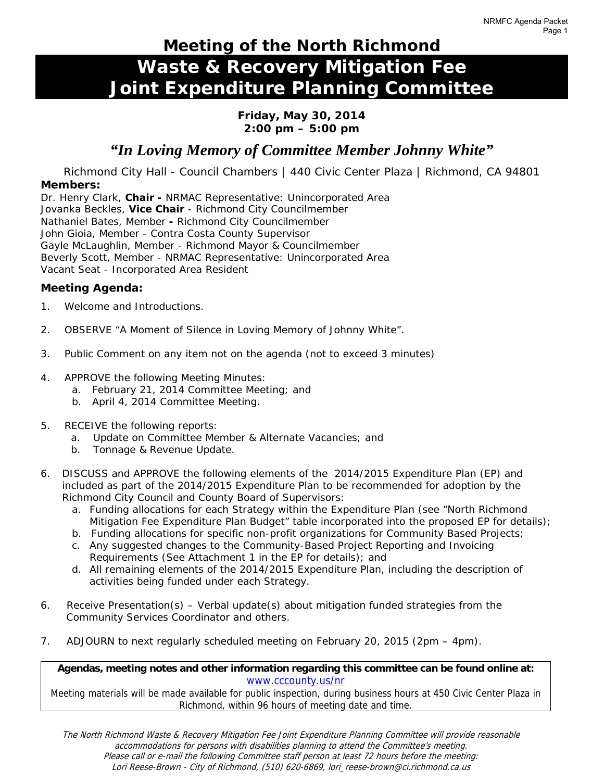# **Meeting of the North Richmond Waste & Recovery Mitigation Fee Joint Expenditure Planning Committee**

## **Friday, May 30, 2014 2:00 pm – 5:00 pm**

# *"In Loving Memory of Committee Member Johnny White"*

Richmond City Hall - Council Chambers | 440 Civic Center Plaza | Richmond, CA 94801

## **Members:**

Dr. Henry Clark, **Chair -** NRMAC Representative: Unincorporated Area Jovanka Beckles, **Vice Chair** - Richmond City Councilmember Nathaniel Bates, Member **-** Richmond City Councilmember John Gioia, Member - Contra Costa County Supervisor Gayle McLaughlin, Member - Richmond Mayor & Councilmember Beverly Scott, Member - NRMAC Representative: Unincorporated Area Vacant Seat - Incorporated Area Resident

# **Meeting Agenda:**

- 1. Welcome and Introductions.
- 2. *OBSERVE "A Moment of Silence in Loving Memory of Johnny White".*
- 3. Public Comment on any item not on the agenda *(not to exceed 3 minutes)*
- 4. *APPROVE* the following Meeting Minutes:
	- a. February 21, 2014 Committee Meeting; and
	- b. April 4, 2014 Committee Meeting.
- 5. *RECEIVE* the following reports:
	- a. Update on Committee Member & Alternate Vacancies; and
	- b. Tonnage & Revenue Update.
- 6. *DISCUSS* and *APPROVE* the following elements of the 2014/2015 Expenditure Plan (EP) and included as part of the 2014/2015 Expenditure Plan to be recommended for adoption by the Richmond City Council and County Board of Supervisors:
	- a. Funding allocations for each Strategy within the Expenditure Plan (see "North Richmond Mitigation Fee Expenditure Plan Budget" table incorporated into the proposed EP for details);
	- b. Funding allocations for specific non-profit organizations for Community Based Projects;
	- c. Any suggested changes to the Community-Based Project Reporting and Invoicing Requirements (See Attachment 1 in the EP for details); and
	- d. All remaining elements of the 2014/2015 Expenditure Plan, including the description of activities being funded under each Strategy.
- 6. *Receive Presentation(s)*  Verbal update(s) about mitigation funded strategies from the Community Services Coordinator and others.
- 7. *ADJOURN* to next regularly scheduled meeting on February 20, 2015 (2pm 4pm).

**Agendas, meeting notes and other information regarding this committee can be found online at:**  www.cccounty.us/nr

Meeting materials will be made available for public inspection, during business hours at 450 Civic Center Plaza in Richmond, within 96 hours of meeting date and time.

The North Richmond Waste & Recovery Mitigation Fee Joint Expenditure Planning Committee will provide reasonable accommodations for persons with disabilities planning to attend the Committee's meeting. Please call or e-mail the following Committee staff person at least 72 hours before the meeting: Lori Reese-Brown - City of Richmond, (510) 620-6869, lori reese-brown@ci.richmond.ca.us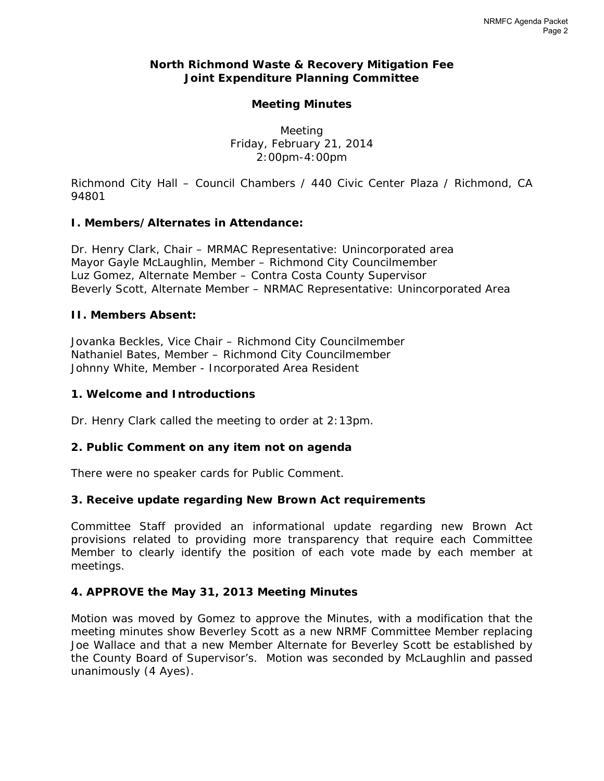# **North Richmond Waste & Recovery Mitigation Fee Joint Expenditure Planning Committee**

# **Meeting Minutes**

Meeting Friday, February 21, 2014 2:00pm-4:00pm

*Richmond City Hall – Council Chambers / 440 Civic Center Plaza / Richmond, CA 94801* 

# **I. Members/Alternates in Attendance:**

Dr. Henry Clark, Chair – MRMAC Representative: Unincorporated area Mayor Gayle McLaughlin, Member – Richmond City Councilmember Luz Gomez, Alternate Member – Contra Costa County Supervisor Beverly Scott, Alternate Member – NRMAC Representative: Unincorporated Area

# **II. Members Absent:**

Jovanka Beckles, Vice Chair – Richmond City Councilmember Nathaniel Bates, Member – Richmond City Councilmember Johnny White, Member - Incorporated Area Resident

# **1. Welcome and Introductions**

Dr. Henry Clark called the meeting to order at 2:13pm.

# **2. Public Comment on any item not on agenda**

There were no speaker cards for Public Comment.

# **3. Receive update regarding New Brown Act requirements**

Committee Staff provided an informational update regarding new Brown Act provisions related to providing more transparency that require each Committee Member to clearly identify the position of each vote made by each member at meetings.

# **4. APPROVE the May 31, 2013 Meeting Minutes**

*Motion was moved* by Gomez to approve the Minutes, with a modification that the meeting minutes show Beverley Scott as a new NRMF Committee Member replacing Joe Wallace and that a new Member Alternate for Beverley Scott be established by the County Board of Supervisor's. *Motion was seconded* by McLaughlin and *passed unanimously (4 Ayes).*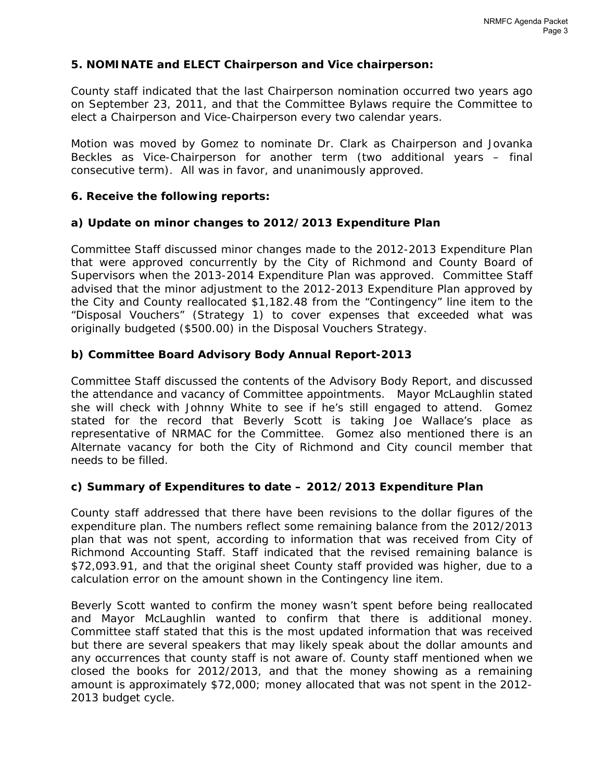# **5. NOMINATE and ELECT Chairperson and Vice chairperson:**

County staff indicated that the last Chairperson nomination occurred two years ago on September 23, 2011, and that the Committee Bylaws require the Committee to elect a Chairperson and Vice-Chairperson every two calendar years.

*Motion was moved* by Gomez to nominate Dr. Clark as Chairperson and Jovanka Beckles as Vice-Chairperson for another term (two additional years – final consecutive term). All was in favor, and *unanimously approved*.

## **6. Receive the following reports:**

### **a) Update on minor changes to 2012/2013 Expenditure Plan**

Committee Staff discussed minor changes made to the 2012-2013 Expenditure Plan that were approved concurrently by the City of Richmond and County Board of Supervisors when the 2013-2014 Expenditure Plan was approved. Committee Staff advised that the minor adjustment to the 2012-2013 Expenditure Plan approved by the City and County reallocated \$1,182.48 from the "Contingency" line item to the "Disposal Vouchers" (Strategy 1) to cover expenses that exceeded what was originally budgeted (\$500.00) in the Disposal Vouchers Strategy.

# **b) Committee Board Advisory Body Annual Report-2013**

Committee Staff discussed the contents of the Advisory Body Report, and discussed the attendance and vacancy of Committee appointments. Mayor McLaughlin stated she will check with Johnny White to see if he's still engaged to attend. Gomez stated for the record that Beverly Scott is taking Joe Wallace's place as representative of NRMAC for the Committee. Gomez also mentioned there is an Alternate vacancy for both the City of Richmond and City council member that needs to be filled.

# **c) Summary of Expenditures to date – 2012/2013 Expenditure Plan**

County staff addressed that there have been revisions to the dollar figures of the expenditure plan. The numbers reflect some remaining balance from the 2012/2013 plan that was not spent, according to information that was received from City of Richmond Accounting Staff. Staff indicated that the revised remaining balance is \$72,093.91, and that the original sheet County staff provided was higher, due to a calculation error on the amount shown in the Contingency line item.

Beverly Scott wanted to confirm the money wasn't spent before being reallocated and Mayor McLaughlin wanted to confirm that there is additional money. Committee staff stated that this is the most updated information that was received but there are several speakers that may likely speak about the dollar amounts and any occurrences that county staff is not aware of. County staff mentioned when we closed the books for 2012/2013, and that the money showing as a remaining amount is approximately \$72,000; money allocated that was not spent in the 2012- 2013 budget cycle.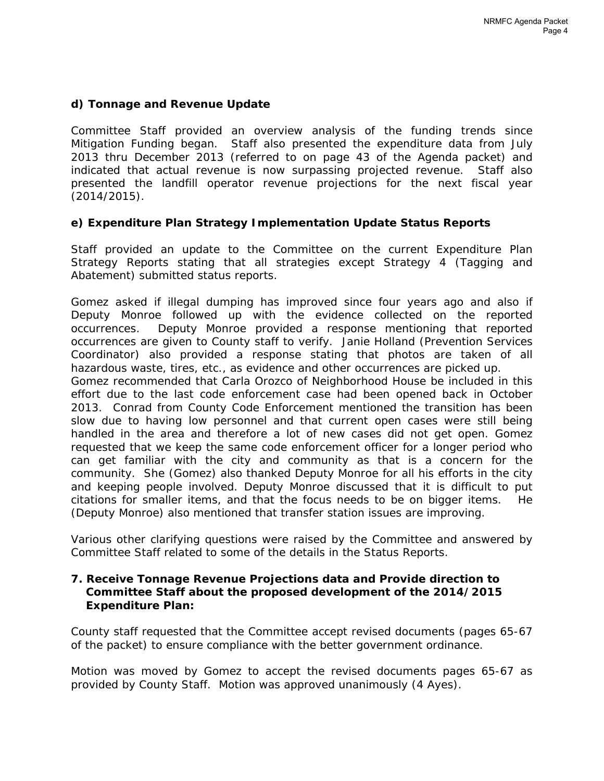# **d) Tonnage and Revenue Update**

Committee Staff provided an overview analysis of the funding trends since Mitigation Funding began. Staff also presented the expenditure data from July 2013 thru December 2013 (referred to on page 43 of the Agenda packet) and indicated that actual revenue is now surpassing projected revenue. Staff also presented the landfill operator revenue projections for the next fiscal year (2014/2015).

# **e) Expenditure Plan Strategy Implementation Update Status Reports**

Staff provided an update to the Committee on the current Expenditure Plan Strategy Reports stating that all strategies except Strategy 4 (Tagging and Abatement) submitted status reports.

Gomez asked if illegal dumping has improved since four years ago and also if Deputy Monroe followed up with the evidence collected on the reported occurrences. Deputy Monroe provided a response mentioning that reported occurrences are given to County staff to verify. Janie Holland (Prevention Services Coordinator) also provided a response stating that photos are taken of all hazardous waste, tires, etc., as evidence and other occurrences are picked up.

Gomez recommended that Carla Orozco of Neighborhood House be included in this effort due to the last code enforcement case had been opened back in October 2013. Conrad from County Code Enforcement mentioned the transition has been slow due to having low personnel and that current open cases were still being handled in the area and therefore a lot of new cases did not get open. Gomez requested that we keep the same code enforcement officer for a longer period who can get familiar with the city and community as that is a concern for the community. She (Gomez) also thanked Deputy Monroe for all his efforts in the city and keeping people involved. Deputy Monroe discussed that it is difficult to put citations for smaller items, and that the focus needs to be on bigger items. He (Deputy Monroe) also mentioned that transfer station issues are improving.

Various other clarifying questions were raised by the Committee and answered by Committee Staff related to some of the details in the Status Reports.

## **7. Receive Tonnage Revenue Projections data and Provide direction to Committee Staff about the proposed development of the 2014/2015 Expenditure Plan:**

County staff requested that the Committee accept revised documents (pages 65-67 of the packet) to ensure compliance with the better government ordinance.

*Motion was moved by Gomez* to accept the revised documents pages 65-67 as provided by County Staff. *Motion was approved unanimously (4 Ayes).*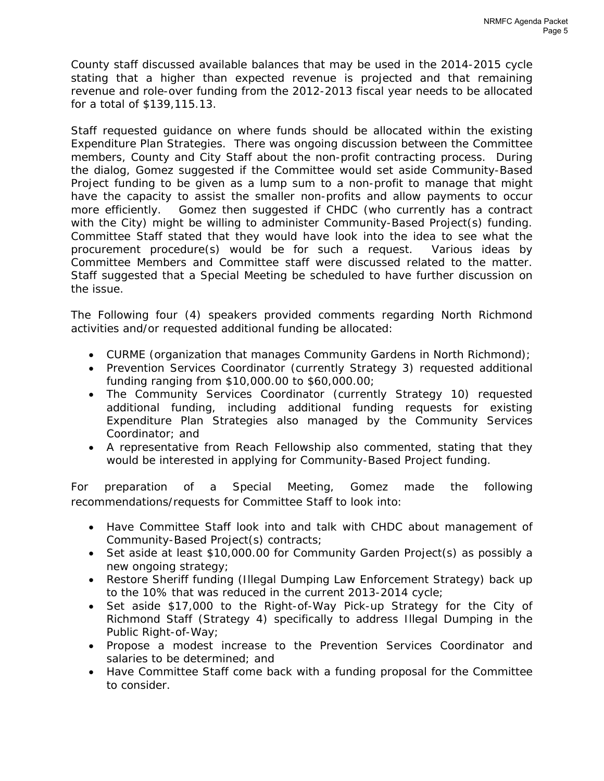County staff discussed available balances that may be used in the 2014-2015 cycle stating that a higher than expected revenue is projected and that remaining revenue and role-over funding from the 2012-2013 fiscal year needs to be allocated for a total of \$139,115.13.

Staff requested guidance on where funds should be allocated within the existing Expenditure Plan Strategies. There was ongoing discussion between the Committee members, County and City Staff about the non-profit contracting process. During the dialog, Gomez suggested if the Committee would set aside Community-Based Project funding to be given as a lump sum to a non-profit to manage that might have the capacity to assist the smaller non-profits and allow payments to occur more efficiently. Gomez then suggested if CHDC (who currently has a contract with the City) might be willing to administer Community-Based Project(s) funding. Committee Staff stated that they would have look into the idea to see what the procurement procedure(s) would be for such a request. Various ideas by Committee Members and Committee staff were discussed related to the matter. Staff suggested that a Special Meeting be scheduled to have further discussion on the issue.

The Following four (4) speakers provided comments regarding North Richmond activities and/or requested additional funding be allocated:

- CURME (organization that manages Community Gardens in North Richmond);
- Prevention Services Coordinator (currently Strategy 3) requested additional funding ranging from \$10,000.00 to \$60,000.00;
- The Community Services Coordinator (currently Strategy 10) requested additional funding, including additional funding requests for existing Expenditure Plan Strategies also managed by the Community Services Coordinator; and
- A representative from Reach Fellowship also commented, stating that they would be interested in applying for Community-Based Project funding.

For preparation of a Special Meeting, Gomez made the following recommendations/requests for Committee Staff to look into:

- Have Committee Staff look into and talk with CHDC about management of Community-Based Project(s) contracts;
- Set aside at least \$10,000.00 for Community Garden Project(s) as possibly a new ongoing strategy;
- Restore Sheriff funding (Illegal Dumping Law Enforcement Strategy) back up to the 10% that was reduced in the current 2013-2014 cycle;
- Set aside \$17,000 to the Right-of-Way Pick-up Strategy for the City of Richmond Staff (Strategy 4) specifically to address Illegal Dumping in the Public Right-of-Way;
- Propose a modest increase to the Prevention Services Coordinator and salaries to be determined; and
- Have Committee Staff come back with a funding proposal for the Committee to consider.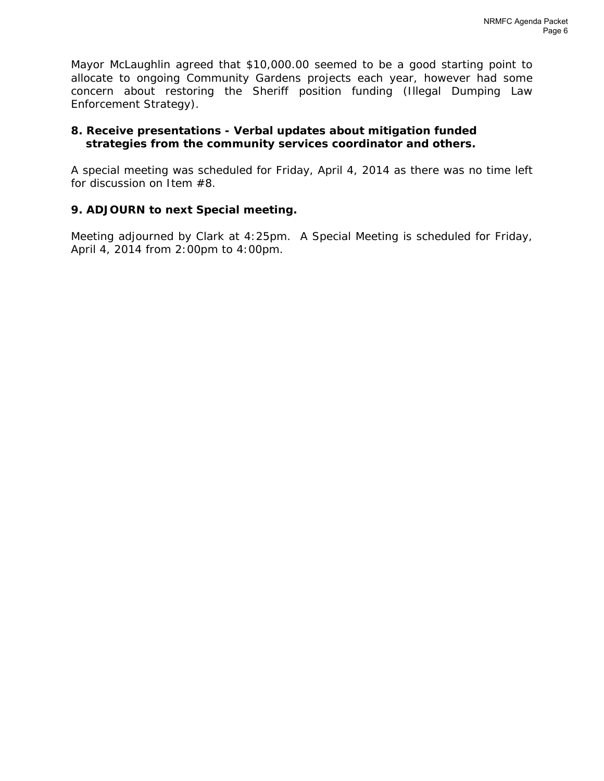Mayor McLaughlin agreed that \$10,000.00 seemed to be a good starting point to allocate to ongoing Community Gardens projects each year, however had some concern about restoring the Sheriff position funding (Illegal Dumping Law Enforcement Strategy).

# **8. Receive presentations - Verbal updates about mitigation funded strategies from the community services coordinator and others.**

A special meeting was scheduled for Friday, April 4, 2014 as there was no time left for discussion on Item #8.

# **9. ADJOURN to next Special meeting.**

Meeting adjourned by Clark at 4:25pm. A Special Meeting is scheduled for Friday, April 4, 2014 from 2:00pm to 4:00pm.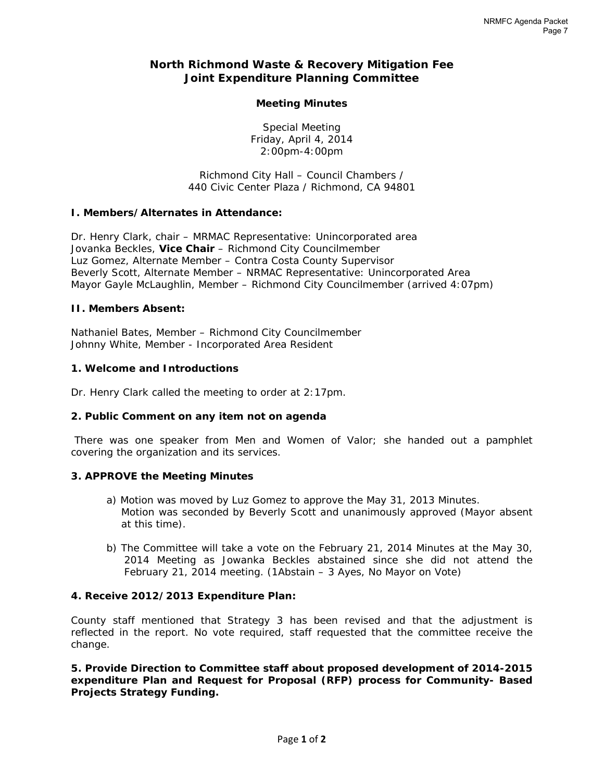# **North Richmond Waste & Recovery Mitigation Fee Joint Expenditure Planning Committee**

#### **Meeting Minutes**

Special Meeting Friday, April 4, 2014 2:00pm-4:00pm

*Richmond City Hall – Council Chambers / 440 Civic Center Plaza / Richmond, CA 94801* 

#### **I. Members/Alternates in Attendance:**

Dr. Henry Clark, chair – MRMAC Representative: Unincorporated area Jovanka Beckles, **Vice Chair** – Richmond City Councilmember Luz Gomez, Alternate Member – Contra Costa County Supervisor Beverly Scott, Alternate Member – NRMAC Representative: Unincorporated Area Mayor Gayle McLaughlin, Member – Richmond City Councilmember (arrived 4:07pm)

#### **II. Members Absent:**

Nathaniel Bates, Member – Richmond City Councilmember Johnny White, Member - Incorporated Area Resident

#### **1. Welcome and Introductions**

Dr. Henry Clark called the meeting to order at 2:17pm.

#### **2. Public Comment on any item not on agenda**

 There was one speaker from Men and Women of Valor; she handed out a pamphlet covering the organization and its services.

#### **3. APPROVE the Meeting Minutes**

- *a) Motion was moved* by Luz Gomez to approve the May 31, 2013 Minutes. *Motion was seconded* by Beverly Scott and unanimously approved (Mayor absent at this time).
- *b) The Committee will take a vote on the February 21, 2014 Minutes at the May 30, 2014 Meeting as Jowanka Beckles abstained since she did not attend the February 21, 2014 meeting. (1Abstain – 3 Ayes, No Mayor on Vote)*

#### **4. Receive 2012/2013 Expenditure Plan:**

County staff mentioned that Strategy 3 has been revised and that the adjustment is reflected in the report. No vote required, staff requested that the committee receive the change.

**5. Provide Direction to Committee staff about proposed development of 2014-2015 expenditure Plan and Request for Proposal (RFP) process for Community- Based Projects Strategy Funding.**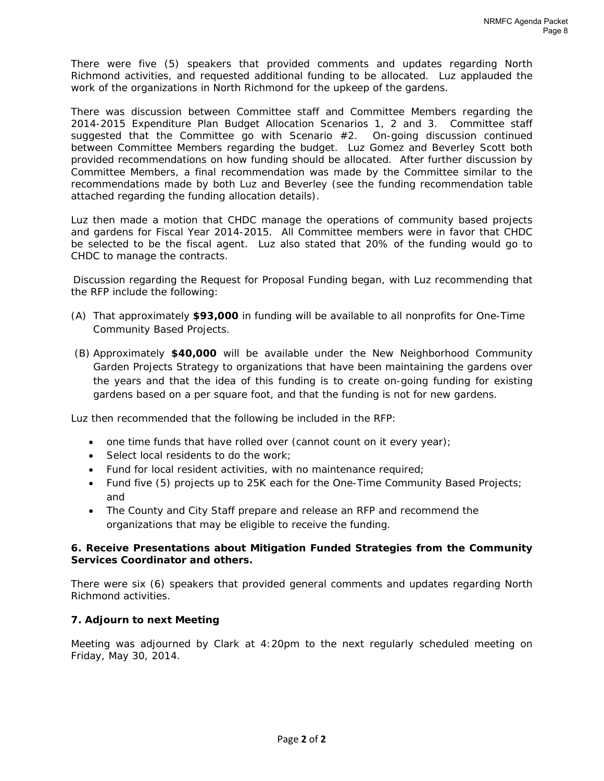There were five (5) speakers that provided comments and updates regarding North Richmond activities, and requested additional funding to be allocated. Luz applauded the work of the organizations in North Richmond for the upkeep of the gardens.

There was discussion between Committee staff and Committee Members regarding the 2014-2015 Expenditure Plan Budget Allocation Scenarios 1, 2 and 3. Committee staff suggested that the Committee go with Scenario #2. On-going discussion continued between Committee Members regarding the budget. Luz Gomez and Beverley Scott both provided recommendations on how funding should be allocated. After further discussion by Committee Members, a final recommendation was made by the Committee similar to the recommendations made by both Luz and Beverley (see the funding recommendation table attached regarding the funding allocation details).

Luz then made a motion that CHDC manage the operations of community based projects and gardens for Fiscal Year 2014-2015. All Committee members were in favor that CHDC be selected to be the fiscal agent. Luz also stated that 20% of the funding would go to CHDC to manage the contracts.

Discussion regarding the Request for Proposal Funding began, with Luz recommending that the RFP include the following:

- (A) That approximately **\$93,000** in funding will be available to all nonprofits for One-Time Community Based Projects.
- (B) Approximately **\$40,000** will be available under the New Neighborhood Community Garden Projects Strategy to organizations that have been maintaining the gardens over the years and that the idea of this funding is to create on-going funding for existing gardens based on a per square foot, and that the funding is not for new gardens.

Luz then recommended that the following be included in the RFP:

- one time funds that have rolled over (cannot count on it every year);
- Select local residents to do the work;
- Fund for local resident activities, with no maintenance required;
- Fund five (5) projects up to 25K each for the One-Time Community Based Projects; and
- The County and City Staff prepare and release an RFP and recommend the organizations that may be eligible to receive the funding.

#### **6. Receive Presentations about Mitigation Funded Strategies from the Community Services Coordinator and others.**

There were six (6) speakers that provided general comments and updates regarding North Richmond activities.

#### **7. Adjourn to next Meeting**

Meeting was adjourned by Clark at 4:20pm to the next regularly scheduled meeting on Friday, May 30, 2014.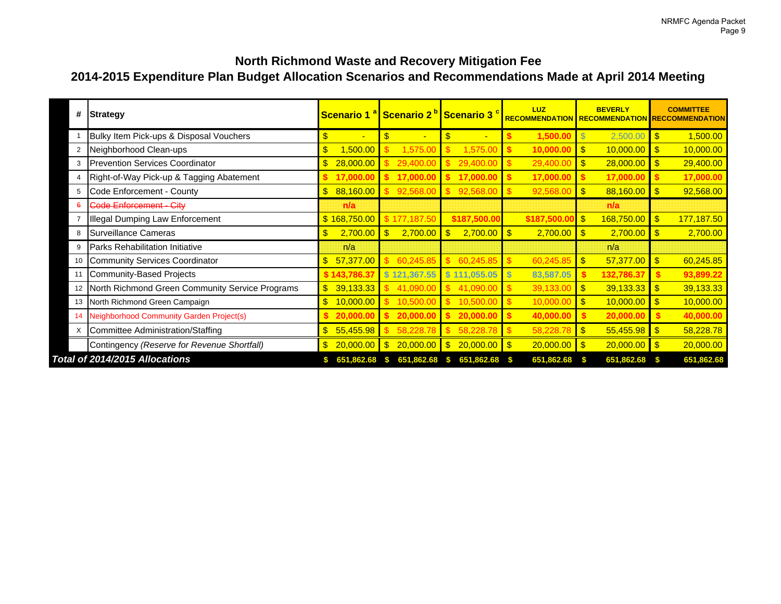# **2014-2015 Expenditure Plan Budget Allocation Scenarios and Recommendations Made at April 2014 Meeting North Richmond Waste and Recovery Mitigation Fee**

| #              | Strategy                                        |                      | Scenario 1 <sup>a</sup> Scenario 2 <sup>p</sup> Scenario 3 <sup>c</sup> |                            | LUZ                     | <b>BEVERLY</b>                       | <b>COMMITTEE</b><br>RECOMMENDATION RECOMMENDATION RECCOMMENDATION |
|----------------|-------------------------------------------------|----------------------|-------------------------------------------------------------------------|----------------------------|-------------------------|--------------------------------------|-------------------------------------------------------------------|
|                | Bulky Item Pick-ups & Disposal Vouchers         | \$<br>$\blacksquare$ | \$<br>$\blacksquare$                                                    | \$                         | 1,500.00                | $\overline{\mathcal{S}}$<br>2,500.00 | 1,500.00<br>\$                                                    |
| 2              | Neighborhood Clean-ups                          | \$<br>,500.00        | 1,575.00                                                                | 1,575.00                   | 10,000.00               | $\mathbf{\$}$<br>10,000.00           | $\mathbf{\$}$<br>10,000.00                                        |
| 3              | <b>Prevention Services Coordinator</b>          | 28,000.00            | 29,400.00                                                               | 29,400.00                  | 29,400.00               | $\mathbf{\$}$<br>28,000.00           | $\mathbf{\$}$<br>29,400.00                                        |
| $\overline{4}$ | Right-of-Way Pick-up & Tagging Abatement        | 17,000.00            | 17,000.00                                                               | 17,000.00                  | 17,000.00               | 17,000.00                            | 17,000.00                                                         |
| 5              | Code Enforcement - County                       | 88,160.00<br>\$      | 92,568.00                                                               | 92,568.00                  | -\$<br>92,568.00        | $\mathbf{\$}$<br>88,160.00           | $\mathbf{\$}$<br>92,568.00                                        |
| 6              | Code Enforcement - City                         | n/a                  |                                                                         |                            |                         | n/a                                  |                                                                   |
|                | <b>Illegal Dumping Law Enforcement</b>          | \$168,750.00         | \$177,187.50                                                            | \$187,500.00               | \$187,500.0             | $\mathbf{\$}$<br>168,750.00          | 177,187.50<br>$\mathbf{\$}$                                       |
| 8              | Surveillance Cameras                            | \$<br>2,700.00       | $\mathbf{\$}$<br>2,700.00                                               | \$<br>$2,700.00$ \$        | 2,700.00                | $\blacksquare$<br>2,700.00           | $\mathbf{\$}$<br>2,700.00                                         |
| 9              | <b>Parks Rehabilitation Initiative</b>          | n/a                  |                                                                         |                            |                         | n/a                                  |                                                                   |
| 10             | <b>Community Services Coordinator</b>           | 57,377.00            | 60,245.85                                                               | 60,245.85                  | 60,245.85               | $\mathbf{\$}$<br>57,377.00           | $\mathbf{\$}$<br>60,245.85                                        |
| 11             | Community-Based Projects                        | \$143,786.37         | \$121,367.55                                                            | $\mathbf{s}$<br>111,055.05 | 83,587.05               | 132,786.37                           | 93,899.22                                                         |
| 12             | North Richmond Green Community Service Programs | 39,133.33<br>\$      | 41.090.00                                                               | 41.090.00                  | 39,133.00               | 39,133.33<br>$\mathbf{\$}$           | $\mathbf{\$}$<br>39,133.33                                        |
| 13             | North Richmond Green Campaign                   | 10,000.00            | 10,500.00                                                               | 10.500.00                  | 10,000.00               | $\mathbf{\$}$<br>10,000.00           | $\mathbf{\$}$<br>10,000.00                                        |
| -14            | Neighborhood Community Garden Project(s)        | 20,000.00            | 20,000.00                                                               | 20,000.00                  | 40,000.00               | 20,000.00                            | 40,000.00                                                         |
| $\mathsf{X}$   | Committee Administration/Staffing               | 55,455.98            | 58,228.78                                                               | \$<br>58,228.78            | $\sqrt{3}$<br>58,228.78 | $\sqrt{3}$<br>55,455.98              | $\mathbf{\hat{s}}$<br>58,228.78                                   |
|                | Contingency (Reserve for Revenue Shortfall)     | 20,000.00            | 20,000.00                                                               | \$<br>$20,000.00$ \$       | 20,000.00               | $\overline{1s}$<br>20,000.00         | $\sqrt[3]{3}$<br>20,000.00                                        |
|                | Total of 2014/2015 Allocations                  | 651.862.68           | 651.862.68<br>SS.                                                       | 651,862.68                 | 651,862.68              | 651,862.68                           | 651,862.68                                                        |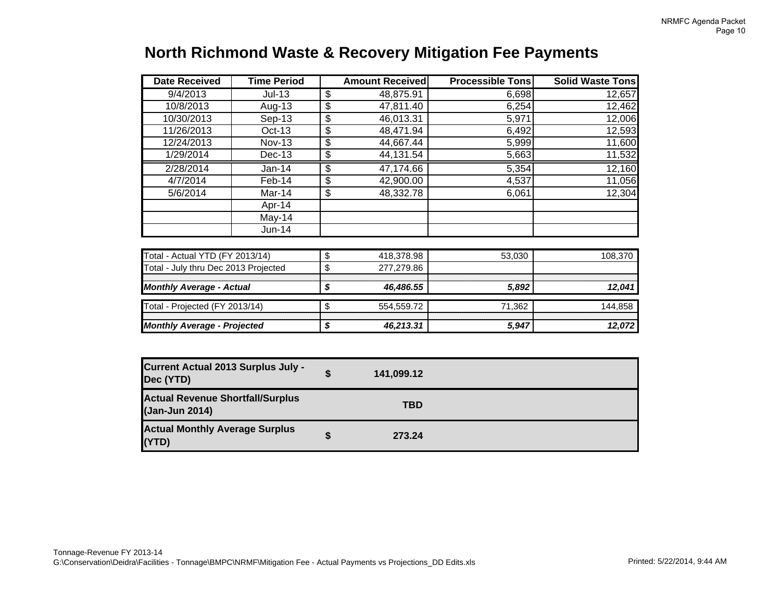| <b>North Richmond Waste &amp; Recovery Mitigation Fee Payments</b> |  |
|--------------------------------------------------------------------|--|
|--------------------------------------------------------------------|--|

| <b>Date Received</b>                                      | Time Period   | <b>Amount Received</b> | <b>Processible Tons</b> | <b>Solid Waste Tons</b> |
|-----------------------------------------------------------|---------------|------------------------|-------------------------|-------------------------|
| 9/4/2013                                                  | $Jul-13$      | \$<br>48,875.91        | 6,698                   | 12,657                  |
| 10/8/2013                                                 | Aug-13        | \$<br>47,811.40        | 6,254                   | 12,462                  |
| 10/30/2013                                                | $Sep-13$      | \$<br>46,013.31        | 5,971                   | 12,006                  |
| 11/26/2013                                                | Oct-13        | \$<br>48,471.94        | 6,492                   | 12,593                  |
| 12/24/2013                                                | <b>Nov-13</b> | \$<br>44,667.44        | 5,999                   | 11,600                  |
| 1/29/2014                                                 | <b>Dec-13</b> | \$<br>44,131.54        | 5,663                   | 11,532                  |
| 2/28/2014                                                 | Jan-14        | \$<br>47,174.66        | 5,354                   | 12,160                  |
| 4/7/2014                                                  | Feb-14        | \$<br>42,900.00        | 4,537                   | 11,056                  |
| 5/6/2014                                                  | Mar-14        | \$<br>48,332.78        | 6,061                   | 12,304                  |
|                                                           | Apr-14        |                        |                         |                         |
|                                                           | May-14        |                        |                         |                         |
|                                                           | Jun-14        |                        |                         |                         |
|                                                           |               |                        |                         |                         |
| Total - Actual YTD (FY 2013/14)                           |               | \$<br>418,378.98       | 53,030                  | 108,370                 |
| Total - July thru Dec 2013 Projected                      |               | \$<br>277,279.86       |                         |                         |
|                                                           |               |                        |                         |                         |
| <b>Monthly Average - Actual</b>                           |               | \$<br>46,486.55        | 5,892                   | 12,041                  |
| Total - Projected (FY 2013/14)                            |               | \$<br>554,559.72       | 71,362                  | 144,858                 |
|                                                           |               |                        |                         |                         |
| <b>Monthly Average - Projected</b>                        |               | \$<br>46,213.31        | 5,947                   | 12,072                  |
| <b>Current Actual 2013 Surplus July -</b><br>Dec (YTD)    |               | \$<br>141,099.12       |                         |                         |
|                                                           |               |                        |                         |                         |
| <b>Actual Revenue Shortfall/Surplus</b><br>(Jan-Jun 2014) |               | <b>TBD</b>             |                         |                         |
| <b>Actual Monthly Average Surplus</b><br>(YTD)            |               | \$<br>273.24           |                         |                         |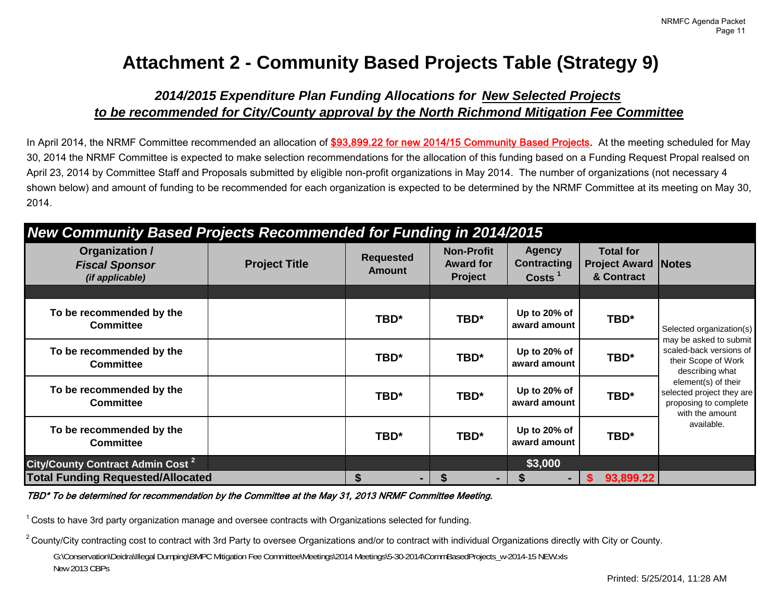# **Attachment 2 - Community Based Projects Table (Strategy 9)**

# *2014/2015 Expenditure Plan Funding Allocations for New Selected Projects to be recommended for City/County approval by the North Richmond Mitigation Fee Committee*

In April 2014, the NRMF Committee recommended an allocation of \$93,899.22 for new 2014/15 Community Based Projects. At the meeting scheduled for May 30, 2014 the NRMF Committee is expected to make selection recommendations for the allocation of this funding based on a Funding Request Propal realsed on April 23, 2014 by Committee Staff and Proposals submitted by eligible non-profit organizations in May 2014. The number of organizations (not necessary 4 shown below) and amount of funding to be recommended for each organization is expected to be determined by the NRMF Committee at its meeting on May 30, 2014.

# *New Community Based Projects Recommended for Funding in 2014/2015*

| Organization /<br><b>Fiscal Sponsor</b><br>(if applicable) | <b>Project Title</b> | <b>Requested</b><br><b>Amount</b> | <b>Non-Profit</b><br><b>Award for</b><br><b>Project</b> | <b>Agency</b><br><b>Contracting</b><br>Costs <sup>1</sup> | <b>Total for</b><br><b>Project Award</b><br>& Contract | <b>Notes</b>                                                                                 |
|------------------------------------------------------------|----------------------|-----------------------------------|---------------------------------------------------------|-----------------------------------------------------------|--------------------------------------------------------|----------------------------------------------------------------------------------------------|
|                                                            |                      |                                   |                                                         |                                                           |                                                        |                                                                                              |
| To be recommended by the<br><b>Committee</b>               |                      | TBD*                              | TBD*                                                    | Up to 20% of<br>award amount                              | TBD*                                                   | Selected organization(s)                                                                     |
| To be recommended by the<br><b>Committee</b>               |                      | TBD*                              | TBD*                                                    | Up to 20% of<br>award amount                              | TBD*                                                   | may be asked to submit<br>scaled-back versions of<br>their Scope of Work<br>describing what  |
| To be recommended by the<br><b>Committee</b>               |                      | TBD*                              | TBD*                                                    | Up to 20% of<br>award amount                              | TBD*                                                   | element(s) of their<br>selected project they are<br>proposing to complete<br>with the amount |
| To be recommended by the<br><b>Committee</b>               |                      | TBD*                              | TBD*                                                    | Up to 20% of<br>award amount                              | TBD*                                                   | available.                                                                                   |
| City/County Contract Admin Cost <sup>2</sup>               |                      |                                   |                                                         | \$3,000                                                   |                                                        |                                                                                              |
| <b>Total Funding Requested/Allocated</b>                   |                      | \$<br>۰.                          | S                                                       |                                                           | 93,899.22                                              |                                                                                              |

TBD\* To be determined for recommendation by the Committee at the May 31, 2013 NRMF Committee Meeting.

 $1$  Costs to have 3rd party organization manage and oversee contracts with Organizations selected for funding.

 $2$  County/City contracting cost to contract with 3rd Party to oversee Organizations and/or to contract with individual Organizations directly with City or County. G:\Conservation\Deidra\Illegal Dumping\BMPC Mitigation Fee Committee\Meetings\2014 Meetings\5-30-2014\CommBasedProjects\_w-2014-15 NEW.xls New 2013 CBPs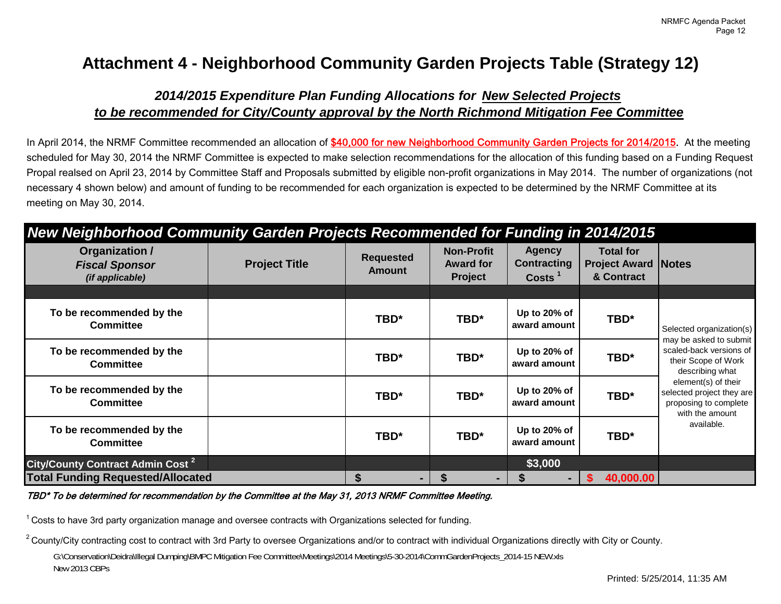# **Attachment 4 - Neighborhood Community Garden Projects Table (Strategy 12)**

# *2014/2015 Expenditure Plan Funding Allocations for New Selected Projects to be recommended for City/County approval by the North Richmond Mitigation Fee Committee*

In April 2014, the NRMF Committee recommended an allocation of \$40,000 for new Neighborhood Community Garden Projects for 2014/2015. At the meeting scheduled for May 30, 2014 the NRMF Committee is expected to make selection recommendations for the allocation of this funding based on a Funding Request Propal realsed on April 23, 2014 by Committee Staff and Proposals submitted by eligible non-profit organizations in May 2014. The number of organizations (not necessary 4 shown below) and amount of funding to be recommended for each organization is expected to be determined by the NRMF Committee at its meeting on May 30, 2014.

| Organization /<br><b>Fiscal Sponsor</b><br>(if applicable) | <b>Project Title</b> | <b>Requested</b><br><b>Amount</b> | <b>Non-Profit</b><br><b>Award for</b><br><b>Project</b> | <b>Agency</b><br><b>Contracting</b><br>Costs <sup>1</sup> | <b>Total for</b><br><b>Project Award Notes</b><br>& Contract |                                                                                              |
|------------------------------------------------------------|----------------------|-----------------------------------|---------------------------------------------------------|-----------------------------------------------------------|--------------------------------------------------------------|----------------------------------------------------------------------------------------------|
|                                                            |                      |                                   |                                                         |                                                           |                                                              |                                                                                              |
| To be recommended by the<br><b>Committee</b>               |                      | TBD*                              | TBD*                                                    | Up to 20% of<br>award amount                              | TBD*                                                         | Selected organization(s)                                                                     |
| To be recommended by the<br><b>Committee</b>               |                      | TBD*                              | TBD*                                                    | Up to 20% of<br>award amount                              | TBD*                                                         | may be asked to submit<br>scaled-back versions of<br>their Scope of Work<br>describing what  |
| To be recommended by the<br><b>Committee</b>               |                      | TBD*                              | TBD*                                                    | Up to 20% of<br>award amount                              | TBD*                                                         | element(s) of their<br>selected project they are<br>proposing to complete<br>with the amount |
| To be recommended by the<br><b>Committee</b>               |                      | TBD*                              | TBD*                                                    | Up to 20% of<br>award amount                              | TBD*                                                         | available.                                                                                   |
| City/County Contract Admin Cost <sup>2</sup>               |                      |                                   |                                                         | \$3,000                                                   |                                                              |                                                                                              |
| <b>Total Funding Requested/Allocated</b>                   |                      | \$<br>۰.                          | -S<br>۰.                                                |                                                           | 40,000.00                                                    |                                                                                              |

TBD\* To be determined for recommendation by the Committee at the May 31, 2013 NRMF Committee Meeting.

 $1$  Costs to have 3rd party organization manage and oversee contracts with Organizations selected for funding.

 $2$  County/City contracting cost to contract with 3rd Party to oversee Organizations and/or to contract with individual Organizations directly with City or County. G:\Conservation\Deidra\Illegal Dumping\BMPC Mitigation Fee Committee\Meetings\2014 Meetings\5-30-2014\CommGardenProjects\_2014-15 NEW.xls New 2013 CBPs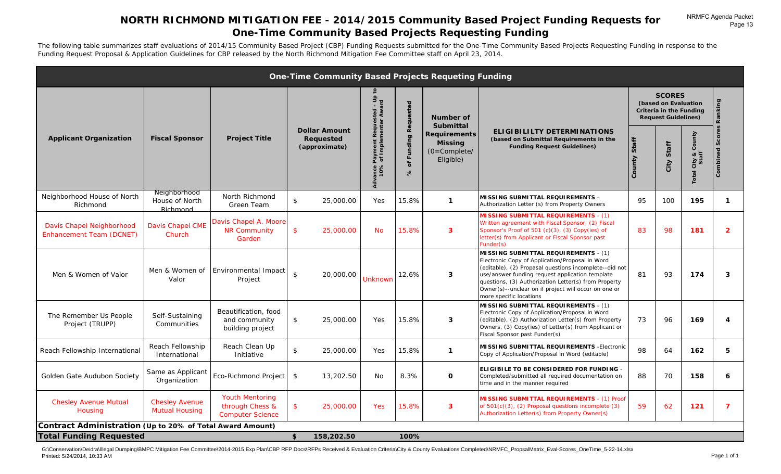# **NORTH RICHMOND MITIGATION FEE - 2014/2015 Community Based Project Funding Requests for One-Time Community Based Projects Requesting Funding**

The following table summarizes staff evaluations of 2014/15 Community Based Project (CBP) Funding Requests submitted for the One-Time Community Based Projects Requesting Funding in response to the Funding Request Proposal & Application Guidelines for CBP released by the North Richmond Mitigation Fee Committee staff on April 23, 2014.

|                                                              |                                                |                                                                      | <b>One-Time Community Based Projects Requeting Funding</b> |                                                                        |                                                  |                                                                                                       |                                                                                                                                                                                                                                                                                                                                                 |                 |                                                                                                                 |                          |                               |
|--------------------------------------------------------------|------------------------------------------------|----------------------------------------------------------------------|------------------------------------------------------------|------------------------------------------------------------------------|--------------------------------------------------|-------------------------------------------------------------------------------------------------------|-------------------------------------------------------------------------------------------------------------------------------------------------------------------------------------------------------------------------------------------------------------------------------------------------------------------------------------------------|-----------------|-----------------------------------------------------------------------------------------------------------------|--------------------------|-------------------------------|
| <b>Applicant Organization</b>                                | <b>Fiscal Sponsor</b>                          | <b>Project Title</b>                                                 | <b>Dollar Amount</b><br>Requested<br>(approximate)         | Payment Requested - Up<br>of Implementer Award<br>Ivance I<br>10%<br>ই | Requested<br>Funding<br>$\mathbf{r}$<br>$\aleph$ | Number of<br><b>Submittal</b><br><b>Requirements</b><br><b>Missing</b><br>$(O=Complete/$<br>Eligible) | <b>ELIGIBILILTY DETERMINATIONS</b><br>(based on Submittal Requirements in the<br><b>Funding Request Guidelines)</b>                                                                                                                                                                                                                             | Staff<br>County | <b>SCORES</b><br>(based on Evaluation<br>Criteria in the Funding<br><b>Request Guidelines)</b><br>Staff<br>City | County<br>City &<br>otal | Ranking<br>Scores<br>Combined |
| Neighborhood House of North<br>Richmond                      | Neighborhood<br>House of North<br>Richmond     | North Richmond<br>Green Team                                         | \$<br>25,000.00                                            | Yes                                                                    | 15.8%                                            | $\mathbf{1}$                                                                                          | MISSING SUBMITTAL REQUIREMENTS -<br>Authorization Letter (s) from Property Owners                                                                                                                                                                                                                                                               | 95              | 100                                                                                                             | 195                      | $\mathbf{1}$                  |
| Davis Chapel Neighborhood<br><b>Enhancement Team (DCNET)</b> | <b>Davis Chapel CME</b><br>Church              | Davis Chapel A. Moore<br><b>NR Community</b><br>Garden               | $\mathbf{\hat{S}}$<br>25,000.00                            | <b>No</b>                                                              | 15.8%                                            | $\overline{\mathbf{3}}$                                                                               | <b>MISSING SUBMITTAL REQUIREMENTS - (1)</b><br>Written agreement with Fiscal Sponsor, (2) Fiscal<br>Sponsor's Proof of 501 (c)(3), (3) Copy(ies) of<br>letter(s) from Applicant or Fiscal Sponsor past<br>Funder(s)                                                                                                                             | 83              | 98                                                                                                              | 181                      | $\overline{2}$                |
| Men & Women of Valor                                         | Men & Women of<br>Valor                        | Environmental Impact<br>Project                                      | $\mathfrak{L}$<br>20,000.00                                | <b>Unknown</b>                                                         | 12.6%                                            | 3                                                                                                     | MISSING SUBMITTAL REQUIREMENTS - (1)<br>Electronic Copy of Application/Proposal in Word<br>(editable), (2) Propasal questions incomplete--did not<br>use/answer funding request application template<br>questions, (3) Authorization Letter(s) from Property<br>Owner(s)--unclear on if project will occur on one or<br>more specific locations | 81              | 93                                                                                                              | 174                      | 3                             |
| The Remember Us People<br>Project (TRUPP)                    | Self-Sustaining<br>Communities                 | Beautification, food<br>and community<br>building project            | \$<br>25,000.00                                            | Yes                                                                    | 15.8%                                            | 3                                                                                                     | MISSING SUBMITTAL REQUIREMENTS - (1)<br>Electronic Copy of Application/Proposal in Word<br>(editable), (2) Authorization Letter(s) from Property<br>Owners, (3) Copy(ies) of Letter(s) from Applicant or<br>Fiscal Sponsor past Funder(s)                                                                                                       | 73              | 96                                                                                                              | 169                      | 4                             |
| Reach Fellowship International                               | Reach Fellowship<br>International              | Reach Clean Up<br>Initiative                                         | \$<br>25,000.00                                            | Yes                                                                    | 15.8%                                            | $\mathbf{1}$                                                                                          | MISSING SUBMITTAL REQUIREMENTS - Electronic<br>Copy of Application/Proposal in Word (editable)                                                                                                                                                                                                                                                  | 98              | 64                                                                                                              | 162                      | 5                             |
| Golden Gate Audubon Society                                  | Same as Applicant<br>Organization              | Eco-Richmond Project                                                 | $\sqrt{3}$<br>13,202.50                                    | No                                                                     | 8.3%                                             | $\mathbf 0$                                                                                           | <b>ELIGIBILE TO BE CONSIDERED FOR FUNDING -</b><br>Completed/submitted all required documentation on<br>time and in the manner required                                                                                                                                                                                                         | 88              | 70                                                                                                              | 158                      | 6                             |
| <b>Chesley Avenue Mutual</b><br>Housing                      | <b>Chesley Avenue</b><br><b>Mutual Housing</b> | <b>Youth Mentoring</b><br>through Chess &<br><b>Computer Science</b> | \$<br>25,000.00                                            | Yes                                                                    | 15.8%                                            | 3                                                                                                     | <b>MISSING SUBMITTAL REQUIREMENTS - (1) Proof</b><br>of 501(c)(3), (2) Proposal questions incomplete (3)<br>Authorization Letter(s) from Property Owner(s)                                                                                                                                                                                      | 59              | 62                                                                                                              | 121                      | $\overline{z}$                |
| Contract Administration (Up to 20% of Total Award Amount)    |                                                |                                                                      |                                                            |                                                                        |                                                  |                                                                                                       |                                                                                                                                                                                                                                                                                                                                                 |                 |                                                                                                                 |                          |                               |
| <b>Total Funding Requested</b>                               |                                                |                                                                      | \$<br>158,202.50                                           |                                                                        | 100%                                             |                                                                                                       |                                                                                                                                                                                                                                                                                                                                                 |                 |                                                                                                                 |                          |                               |

G:\Conservation\Deidra\Illegal Dumping\BMPC Mitigation Fee Committee\2014-2015 Exp Plan\CBP RFP Docs\RFPs Received & Evaluation Criteria\City & County Evaluations Completed\NRMFC\_PropsalMatrix\_Eval-Scores\_OneTime\_5-22-14.x Printed: 5/24/2014, 10:33 AM Page 1 of 1

NRMFC Agenda Packet

Page 13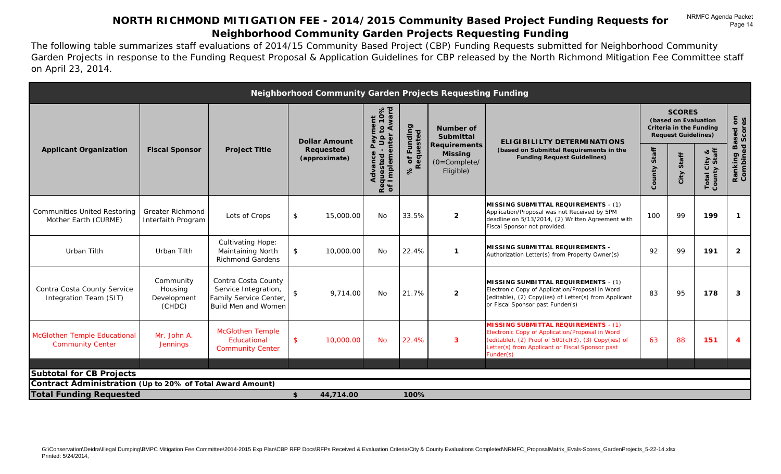# **NORTH RICHMOND MITIGATION FEE - 2014/2015 Community Based Project Funding Requests for Neighborhood Community Garden Projects Requesting Funding**

The following table summarizes staff evaluations of 2014/15 Community Based Project (CBP) Funding Requests submitted for Neighborhood Community Garden Projects in response to the Funding Request Proposal & Application Guidelines for CBP released by the North Richmond Mitigation Fee Committee staff on April 23, 2014.

|                                                                |                                                                                                                                                                                                   |                                                                                              |                                                                      |                                                                               |                 |               | Neighborhood Community Garden Projects Requesting Funding |                                                                                                                                                                                                                           |     |                                                                                                       |     |                                 |
|----------------------------------------------------------------|---------------------------------------------------------------------------------------------------------------------------------------------------------------------------------------------------|----------------------------------------------------------------------------------------------|----------------------------------------------------------------------|-------------------------------------------------------------------------------|-----------------|---------------|-----------------------------------------------------------|---------------------------------------------------------------------------------------------------------------------------------------------------------------------------------------------------------------------------|-----|-------------------------------------------------------------------------------------------------------|-----|---------------------------------|
|                                                                | Up to 10%<br>nter Award<br>Advance Payment<br>Requested - Up<br>of Implementer<br><b>Dollar Amount</b><br><b>Fiscal Sponsor</b><br><b>Project Title</b><br>Requested<br>(approximate)<br>$\aleph$ |                                                                                              |                                                                      |                                                                               |                 |               | <b>Number of</b><br><b>Submittal</b>                      | <b>ELIGIBILILTY DETERMINATIONS</b>                                                                                                                                                                                        |     | <b>SCORES</b><br>(based on Evaluation<br><b>Criteria in the Funding</b><br><b>Request Guidelines)</b> |     | <b>J</b> Based on<br>led Scores |
| <b>Applicant Organization</b>                                  |                                                                                                                                                                                                   | 6 of Funding<br>Requested                                                                    | <b>Requirements</b><br><b>Missing</b><br>$(O=Complete/$<br>Eligible) | (based on Submittal Requirements in the<br><b>Funding Request Guidelines)</b> | Staff<br>County | Staff<br>City | City &<br>y Staff<br>Total Ci<br>County                   | Ranking<br>Combine                                                                                                                                                                                                        |     |                                                                                                       |     |                                 |
| <b>Communities United Restoring</b><br>Mother Earth (CURME)    | <b>Greater Richmond</b><br>Interfaith Program                                                                                                                                                     | Lots of Crops                                                                                | \$                                                                   | 15,000.00                                                                     | No              | 33.5%         | $\overline{2}$                                            | MISSING SUBMITTAL REQUIREMENTS - (1)<br>Application/Proposal was not Received by 5PM<br>deadline on 5/13/2014, (2) Written Agreement with<br>Fiscal Sponsor not provided.                                                 | 100 | 99                                                                                                    | 199 | $\mathbf{1}$                    |
| Urban Tilth                                                    | Urban Tilth                                                                                                                                                                                       | <b>Cultivating Hope:</b><br>Maintaining North<br><b>Richmond Gardens</b>                     | \$                                                                   | 10,000.00                                                                     | No              | 22.4%         | $\mathbf{1}$                                              | MISSING SUBMITTAL REQUIREMENTS -<br>Authorization Letter(s) from Property Owner(s)                                                                                                                                        | 92  | 99                                                                                                    | 191 | $\overline{2}$                  |
| Contra Costa County Service<br>Integration Team (SIT)          | Community<br>Housing<br>Development<br>(CHDC)                                                                                                                                                     | Contra Costa County<br>Service Integration,<br>Family Service Center,<br>Build Men and Women | \$                                                                   | 9,714.00                                                                      | No              | 21.7%         | $\overline{2}$                                            | MISSING SUMBITTAL REQUIREMENTS - (1)<br>Electronic Copy of Application/Proposal in Word<br>(editable), (2) Copy(ies) of Letter(s) from Applicant<br>or Fiscal Sponsor past Funder(s)                                      | 83  | 95                                                                                                    | 178 | 3                               |
| <b>McGlothen Temple Educational</b><br><b>Community Center</b> | Mr. John A.<br><b>Jennings</b>                                                                                                                                                                    | <b>McGlothen Temple</b><br>Educational<br><b>Community Center</b>                            | $\mathsf{\$}$                                                        | 10,000.00                                                                     | <b>No</b>       | 22.4%         | 3                                                         | <b>MISSING SUBMITTAL REQUIREMENTS - (1)</b><br>Electronic Copy of Application/Proposal in Word<br>(editable), (2) Proof of $501(c)(3)$ , (3) Copy(ies) of<br>Letter(s) from Applicant or Fiscal Sponsor past<br>Funder(s) | 63  | 88                                                                                                    | 151 | $\boldsymbol{\varDelta}$        |
| <b>Subtotal for CB Projects</b>                                |                                                                                                                                                                                                   |                                                                                              |                                                                      |                                                                               |                 |               |                                                           |                                                                                                                                                                                                                           |     |                                                                                                       |     |                                 |
| Contract Administration (Up to 20% of Total Award Amount)      |                                                                                                                                                                                                   |                                                                                              |                                                                      |                                                                               |                 |               |                                                           |                                                                                                                                                                                                                           |     |                                                                                                       |     |                                 |
| <b>Total Funding Requested</b>                                 |                                                                                                                                                                                                   |                                                                                              | \$                                                                   | 44,714.00                                                                     |                 | 100%          |                                                           |                                                                                                                                                                                                                           |     |                                                                                                       |     |                                 |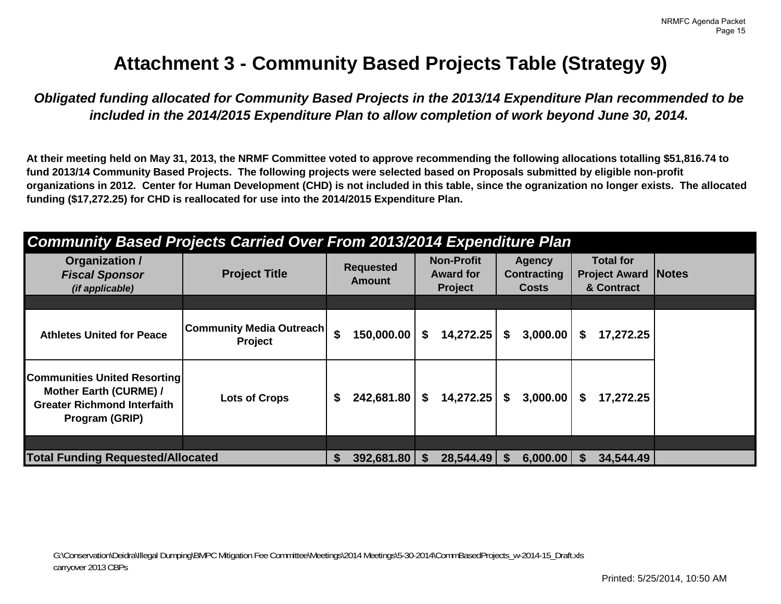# **Attachment 3 - Community Based Projects Table (Strategy 9)**

*Obligated funding allocated for Community Based Projects in the 2013/14 Expenditure Plan recommended to be included in the 2014/2015 Expenditure Plan to allow completion of work beyond June 30, 2014.* 

**At their meeting held on May 31, 2013, the NRMF Committee voted to approve recommending the following allocations totalling \$51,816.74 to fund 2013/14 Community Based Projects. The following projects were selected based on Proposals submitted by eligible non-profit organizations in 2012. Center for Human Development (CHD) is not included in this table, since the ogranization no longer exists. The allocated funding (\$17,272.25) for CHD is reallocated for use into the 2014/2015 Expenditure Plan.** 

| <b>Community Based Projects Carried Over From 2013/2014 Expenditure Plan</b>                                          |                                            |    |                                   |    |                                                         |    |                                                     |    |                                                        |              |
|-----------------------------------------------------------------------------------------------------------------------|--------------------------------------------|----|-----------------------------------|----|---------------------------------------------------------|----|-----------------------------------------------------|----|--------------------------------------------------------|--------------|
| Organization /<br><b>Fiscal Sponsor</b><br>(if applicable)                                                            | <b>Project Title</b>                       |    | <b>Requested</b><br><b>Amount</b> |    | <b>Non-Profit</b><br><b>Award for</b><br><b>Project</b> |    | <b>Agency</b><br><b>Contracting</b><br><b>Costs</b> |    | <b>Total for</b><br><b>Project Award</b><br>& Contract | <b>Notes</b> |
|                                                                                                                       |                                            |    |                                   |    |                                                         |    |                                                     |    |                                                        |              |
| <b>Athletes United for Peace</b>                                                                                      | Community Media Outreach<br><b>Project</b> | \$ | 150,000.00                        | S. | 14,272.25                                               | \$ | 3,000.00                                            | S  | 17,272.25                                              |              |
| <b>Communities United Resorting</b><br>Mother Earth (CURME) /<br><b>Greater Richmond Interfaith</b><br>Program (GRIP) | <b>Lots of Crops</b>                       | \$ | 242,681.80                        | S. | 14,272.25                                               | \$ | 3,000.00                                            | S. | 17,272.25                                              |              |
|                                                                                                                       |                                            |    |                                   |    |                                                         |    |                                                     |    |                                                        |              |
| <b>Total Funding Requested/Allocated</b>                                                                              |                                            | S. | 392,681.80                        |    | 28,544.49                                               | S  | 6,000.00                                            |    | 34,544.49                                              |              |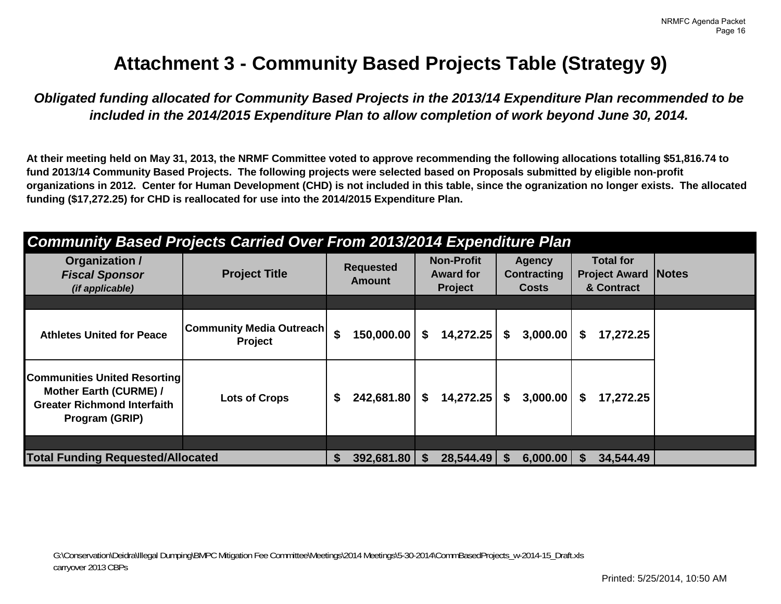# **Attachment 3 - Community Based Projects Table (Strategy 9)**

*Obligated funding allocated for Community Based Projects in the 2013/14 Expenditure Plan recommended to be included in the 2014/2015 Expenditure Plan to allow completion of work beyond June 30, 2014.* 

**At their meeting held on May 31, 2013, the NRMF Committee voted to approve recommending the following allocations totalling \$51,816.74 to fund 2013/14 Community Based Projects. The following projects were selected based on Proposals submitted by eligible non-profit organizations in 2012. Center for Human Development (CHD) is not included in this table, since the ogranization no longer exists. The allocated funding (\$17,272.25) for CHD is reallocated for use into the 2014/2015 Expenditure Plan.** 

| <b>Community Based Projects Carried Over From 2013/2014 Expenditure Plan</b>                                          |                                            |    |                                   |    |                                                         |    |                                                     |    |                                                        |              |
|-----------------------------------------------------------------------------------------------------------------------|--------------------------------------------|----|-----------------------------------|----|---------------------------------------------------------|----|-----------------------------------------------------|----|--------------------------------------------------------|--------------|
| Organization /<br><b>Fiscal Sponsor</b><br>(if applicable)                                                            | <b>Project Title</b>                       |    | <b>Requested</b><br><b>Amount</b> |    | <b>Non-Profit</b><br><b>Award for</b><br><b>Project</b> |    | <b>Agency</b><br><b>Contracting</b><br><b>Costs</b> |    | <b>Total for</b><br><b>Project Award</b><br>& Contract | <b>Notes</b> |
|                                                                                                                       |                                            |    |                                   |    |                                                         |    |                                                     |    |                                                        |              |
| <b>Athletes United for Peace</b>                                                                                      | Community Media Outreach<br><b>Project</b> | \$ | 150,000.00                        | S. | 14,272.25                                               | \$ | 3,000.00                                            | S  | 17,272.25                                              |              |
| <b>Communities United Resorting</b><br>Mother Earth (CURME) /<br><b>Greater Richmond Interfaith</b><br>Program (GRIP) | <b>Lots of Crops</b>                       | \$ | 242,681.80                        | S. | 14,272.25                                               | \$ | 3,000.00                                            | S. | 17,272.25                                              |              |
|                                                                                                                       |                                            |    |                                   |    |                                                         |    |                                                     |    |                                                        |              |
| <b>Total Funding Requested/Allocated</b>                                                                              |                                            | S. | 392,681.80                        |    | 28,544.49                                               | S  | 6,000.00                                            |    | 34,544.49                                              |              |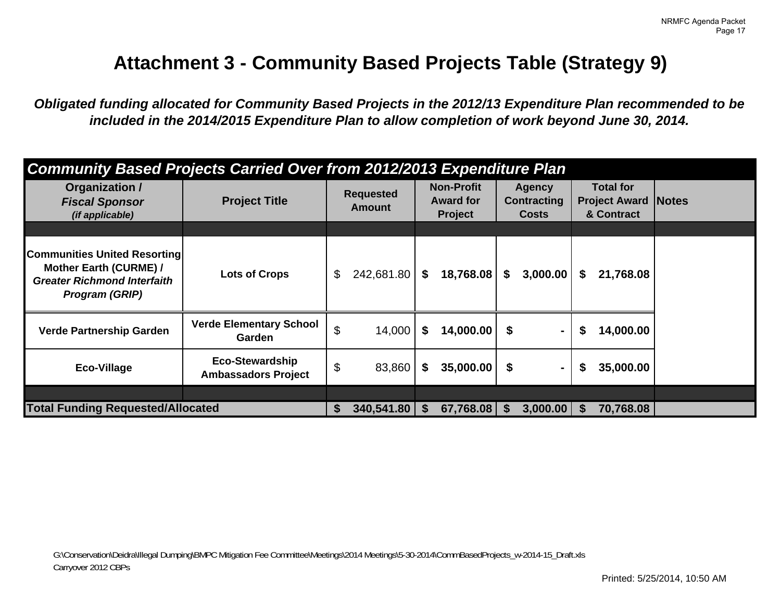# **Attachment 3 - Community Based Projects Table (Strategy 9)**

*Obligated funding allocated for Community Based Projects in the 2012/13 Expenditure Plan recommended to be included in the 2014/2015 Expenditure Plan to allow completion of work beyond June 30, 2014.* 

| <b>Community Based Projects Carried Over from 2012/2013 Expenditure Plan</b>                                          |                                                      |    |                                   |    |                                                         |               |                                              |                                                              |  |
|-----------------------------------------------------------------------------------------------------------------------|------------------------------------------------------|----|-----------------------------------|----|---------------------------------------------------------|---------------|----------------------------------------------|--------------------------------------------------------------|--|
| Organization /<br><b>Fiscal Sponsor</b><br>(if applicable)                                                            | <b>Project Title</b>                                 |    | <b>Requested</b><br><b>Amount</b> |    | <b>Non-Profit</b><br><b>Award for</b><br><b>Project</b> |               | Agency<br><b>Contracting</b><br><b>Costs</b> | <b>Total for</b><br><b>Project Award Notes</b><br>& Contract |  |
|                                                                                                                       |                                                      |    |                                   |    |                                                         |               |                                              |                                                              |  |
| <b>Communities United Resorting</b><br>Mother Earth (CURME) /<br><b>Greater Richmond Interfaith</b><br>Program (GRIP) | <b>Lots of Crops</b>                                 | \$ | 242,681.80                        | \$ | 18,768.08                                               | \$            | 3,000.00                                     | \$<br>21,768.08                                              |  |
| <b>Verde Partnership Garden</b>                                                                                       | <b>Verde Elementary School</b><br><b>Garden</b>      | \$ | 14,000                            | \$ | $14,000.00$ \$                                          |               |                                              | \$<br>14,000.00                                              |  |
| Eco-Village                                                                                                           | <b>Eco-Stewardship</b><br><b>Ambassadors Project</b> | \$ | 83,860                            | \$ | 35,000.00                                               | - \$          | $\blacksquare$                               | \$<br>35,000.00                                              |  |
|                                                                                                                       |                                                      |    |                                   |    |                                                         |               |                                              |                                                              |  |
| <b>Total Funding Requested/Allocated</b>                                                                              |                                                      | S  | 340,541.80                        | S  | 67,768.08                                               | $\mathbf{\$}$ | $3,000.00$   \$                              | 70,768.08                                                    |  |

G:\Conservation\Deidra\Illegal Dumping\BMPC Mitigation Fee Committee\Meetings\2014 Meetings\5-30-2014\CommBasedProjects\_w-2014-15\_Draft.xls Carryover 2012 CBPs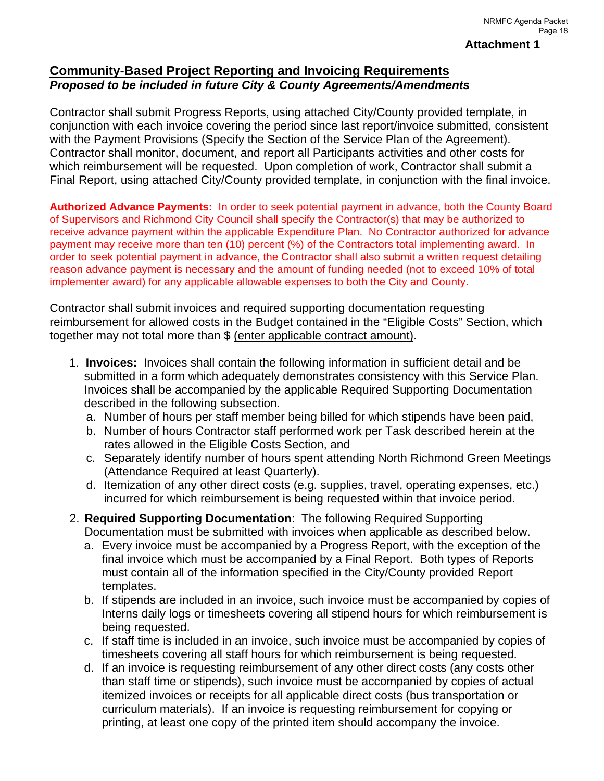# **Community-Based Project Reporting and Invoicing Requirements**  *Proposed to be included in future City & County Agreements/Amendments*

Contractor shall submit Progress Reports, using attached City/County provided template, in conjunction with each invoice covering the period since last report/invoice submitted, consistent with the Payment Provisions (Specify the Section of the Service Plan of the Agreement). Contractor shall monitor, document, and report all Participants activities and other costs for which reimbursement will be requested. Upon completion of work, Contractor shall submit a Final Report, using attached City/County provided template, in conjunction with the final invoice.

**Authorized Advance Payments:** In order to seek potential payment in advance, both the County Board of Supervisors and Richmond City Council shall specify the Contractor(s) that may be authorized to receive advance payment within the applicable Expenditure Plan. No Contractor authorized for advance payment may receive more than ten (10) percent (%) of the Contractors total implementing award. In order to seek potential payment in advance, the Contractor shall also submit a written request detailing reason advance payment is necessary and the amount of funding needed (not to exceed 10% of total implementer award) for any applicable allowable expenses to both the City and County.

Contractor shall submit invoices and required supporting documentation requesting reimbursement for allowed costs in the Budget contained in the "Eligible Costs" Section, which together may not total more than \$ (enter applicable contract amount).

- 1. **Invoices:** Invoices shall contain the following information in sufficient detail and be submitted in a form which adequately demonstrates consistency with this Service Plan. Invoices shall be accompanied by the applicable Required Supporting Documentation described in the following subsection.
	- a. Number of hours per staff member being billed for which stipends have been paid,
	- b. Number of hours Contractor staff performed work per Task described herein at the rates allowed in the Eligible Costs Section, and
	- c. Separately identify number of hours spent attending North Richmond Green Meetings (Attendance Required at least Quarterly).
	- d. Itemization of any other direct costs (e.g. supplies, travel, operating expenses, etc.) incurred for which reimbursement is being requested within that invoice period.
- 2. **Required Supporting Documentation**: The following Required Supporting Documentation must be submitted with invoices when applicable as described below.
	- a. Every invoice must be accompanied by a Progress Report, with the exception of the final invoice which must be accompanied by a Final Report. Both types of Reports must contain all of the information specified in the City/County provided Report templates.
	- b. If stipends are included in an invoice, such invoice must be accompanied by copies of Interns daily logs or timesheets covering all stipend hours for which reimbursement is being requested.
	- c. If staff time is included in an invoice, such invoice must be accompanied by copies of timesheets covering all staff hours for which reimbursement is being requested.
	- d. If an invoice is requesting reimbursement of any other direct costs (any costs other than staff time or stipends), such invoice must be accompanied by copies of actual itemized invoices or receipts for all applicable direct costs (bus transportation or curriculum materials). If an invoice is requesting reimbursement for copying or printing, at least one copy of the printed item should accompany the invoice.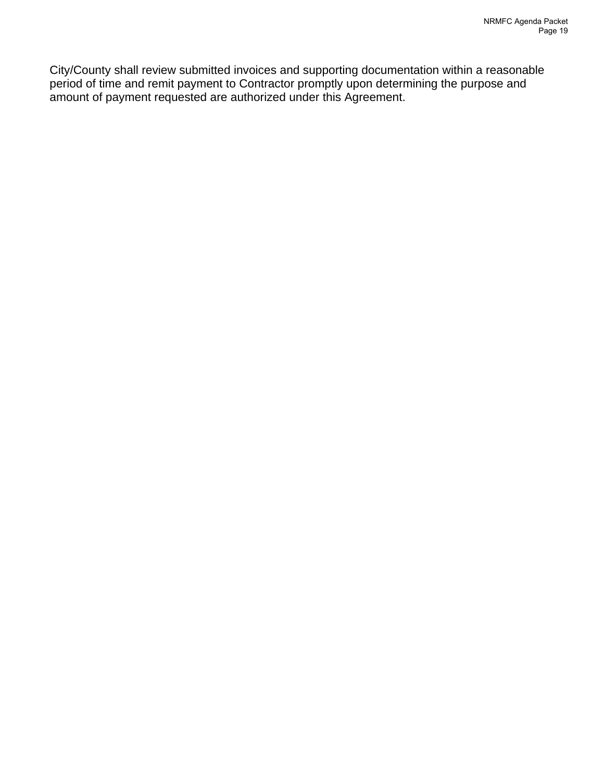City/County shall review submitted invoices and supporting documentation within a reasonable period of time and remit payment to Contractor promptly upon determining the purpose and amount of payment requested are authorized under this Agreement.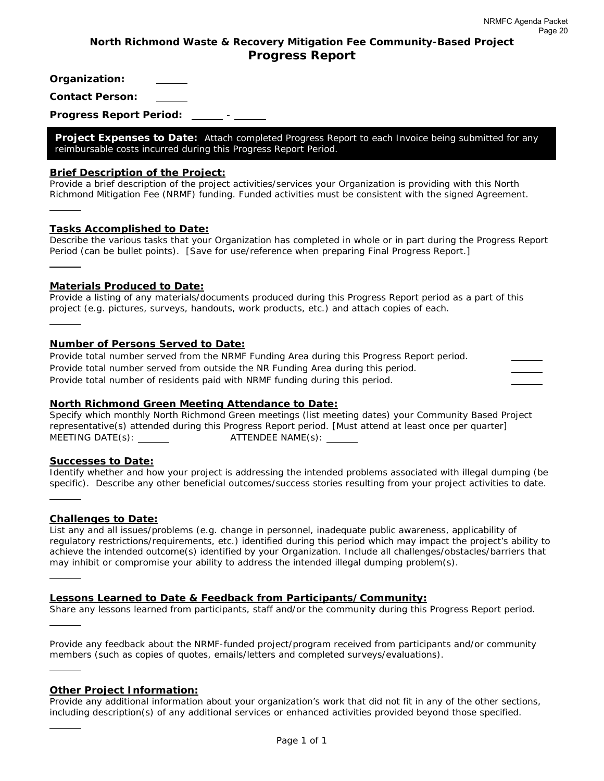# **North Richmond Waste & Recovery Mitigation Fee Community-Based Project Progress Report**

**Organization:** 

**Contact Person:** 

**Progress Report Period:** -

**Project Expenses to Date:** *Attach completed Progress Report to each Invoice being submitted for any reimbursable costs incurred during this Progress Report Period.* 

#### **Brief Description of the Project:**

*Provide a brief description of the project activities/services your Organization is providing with this North Richmond Mitigation Fee (NRMF) funding. Funded activities must be consistent with the signed Agreement.* 

#### **Tasks Accomplished to Date:**

l

l

l

l

*Describe the various tasks that your Organization has completed in whole or in part during the Progress Report Period (can be bullet points). [Save for use/reference when preparing Final Progress Report.]*  l

#### **Materials Produced to Date:**

*Provide a listing of any materials/documents produced during this Progress Report period as a part of this project (e.g. pictures, surveys, handouts, work products, etc.) and attach copies of each.* 

#### **Number of Persons Served to Date:**

*Provide total number served from the NRMF Funding Area during this Progress Report period. Provide total number served from outside the NR Funding Area during this period. Provide total number of residents paid with NRMF funding during this period.* 

#### **North Richmond Green Meeting Attendance to Date:**

*Specify which monthly North Richmond Green meetings (list meeting dates) your Community Based Project representative(s) attended during this Progress Report period. [Must attend at least once per quarter] MEETING DATE(s): ATTENDEE NAME(s):* 

#### **Successes to Date:**

*Identify whether and how your project is addressing the intended problems associated with illegal dumping (be specific). Describe any other beneficial outcomes/success stories resulting from your project activities to date.*  l

#### **Challenges to Date:**

*List any and all issues/problems (e.g. change in personnel, inadequate public awareness, applicability of regulatory restrictions/requirements, etc.) identified during this period which may impact the project's ability to achieve the intended outcome(s) identified by your Organization. Include all challenges/obstacles/barriers that may inhibit or compromise your ability to address the intended illegal dumping problem(s).* 

#### **Lessons Learned to Date & Feedback from Participants/Community:**

*Share any lessons learned from participants, staff and/or the community during this Progress Report period.* 

*Provide any feedback about the NRMF-funded project/program received from participants and/or community members (such as copies of quotes, emails/letters and completed surveys/evaluations).* 

#### **Other Project Information:**

*Provide any additional information about your organization's work that did not fit in any of the other sections, including description(s) of any additional services or enhanced activities provided beyond those specified.*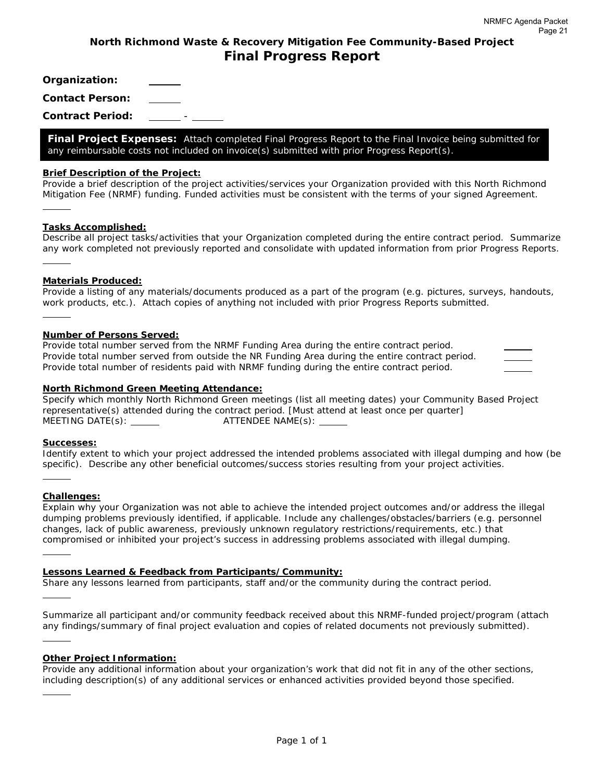# **North Richmond Waste & Recovery Mitigation Fee Community-Based Project Final Progress Report**

**Organization:** 

**Contact Person:** 

**Contract Period:** -

**Final Project Expenses:** *Attach completed Final Progress Report to the Final Invoice being submitted for any reimbursable costs not included on invoice(s) submitted with prior Progress Report(s).* 

#### **Brief Description of the Project:**

*Provide a brief description of the project activities/services your Organization provided with this North Richmond Mitigation Fee (NRMF) funding. Funded activities must be consistent with the terms of your signed Agreement.* 

#### **Tasks Accomplished:**

l,

l,

*Describe all project tasks/activities that your Organization completed during the entire contract period. Summarize any work completed not previously reported and consolidate with updated information from prior Progress Reports.*  l,

#### **Materials Produced:**

*Provide a listing of any materials/documents produced as a part of the program (e.g. pictures, surveys, handouts, work products, etc.). Attach copies of anything not included with prior Progress Reports submitted.* 

#### **Number of Persons Served:**

*Provide total number served from the NRMF Funding Area during the entire contract period. Provide total number served from outside the NR Funding Area during the entire contract period. Provide total number of residents paid with NRMF funding during the entire contract period.* 

#### **North Richmond Green Meeting Attendance:**

*Specify which monthly North Richmond Green meetings (list all meeting dates) your Community Based Project representative(s) attended during the contract period. [Must attend at least once per quarter] MEETING DATE(s): ATTENDEE NAME(s):* 

#### **Successes:**

*Identify extent to which your project addressed the intended problems associated with illegal dumping and how (be specific). Describe any other beneficial outcomes/success stories resulting from your project activities.* 

#### **Challenges:**

l,

l,

l,

l,

l,

*Explain why your Organization was not able to achieve the intended project outcomes and/or address the illegal dumping problems previously identified, if applicable. Include any challenges/obstacles/barriers (e.g. personnel changes, lack of public awareness, previously unknown regulatory restrictions/requirements, etc.) that compromised or inhibited your project's success in addressing problems associated with illegal dumping.* 

#### **Lessons Learned & Feedback from Participants/Community:**

*Share any lessons learned from participants, staff and/or the community during the contract period.* 

*Summarize all participant and/or community feedback received about this NRMF-funded project/program (attach any findings/summary of final project evaluation and copies of related documents not previously submitted).* 

#### **Other Project Information:**

*Provide any additional information about your organization's work that did not fit in any of the other sections, including description(s) of any additional services or enhanced activities provided beyond those specified.*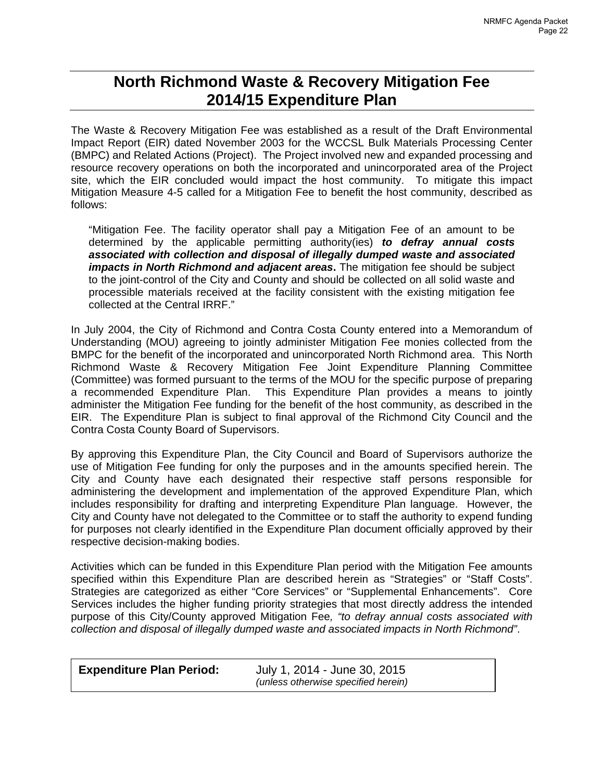# **North Richmond Waste & Recovery Mitigation Fee 2014/15 Expenditure Plan**

The Waste & Recovery Mitigation Fee was established as a result of the Draft Environmental Impact Report (EIR) dated November 2003 for the WCCSL Bulk Materials Processing Center (BMPC) and Related Actions (Project). The Project involved new and expanded processing and resource recovery operations on both the incorporated and unincorporated area of the Project site, which the EIR concluded would impact the host community. To mitigate this impact Mitigation Measure 4-5 called for a Mitigation Fee to benefit the host community, described as follows:

"Mitigation Fee. The facility operator shall pay a Mitigation Fee of an amount to be determined by the applicable permitting authority(ies) *to defray annual costs associated with collection and disposal of illegally dumped waste and associated impacts in North Richmond and adjacent areas***.** The mitigation fee should be subject to the joint-control of the City and County and should be collected on all solid waste and processible materials received at the facility consistent with the existing mitigation fee collected at the Central IRRF."

In July 2004, the City of Richmond and Contra Costa County entered into a Memorandum of Understanding (MOU) agreeing to jointly administer Mitigation Fee monies collected from the BMPC for the benefit of the incorporated and unincorporated North Richmond area. This North Richmond Waste & Recovery Mitigation Fee Joint Expenditure Planning Committee (Committee) was formed pursuant to the terms of the MOU for the specific purpose of preparing a recommended Expenditure Plan. This Expenditure Plan provides a means to jointly administer the Mitigation Fee funding for the benefit of the host community, as described in the EIR. The Expenditure Plan is subject to final approval of the Richmond City Council and the Contra Costa County Board of Supervisors.

By approving this Expenditure Plan, the City Council and Board of Supervisors authorize the use of Mitigation Fee funding for only the purposes and in the amounts specified herein. The City and County have each designated their respective staff persons responsible for administering the development and implementation of the approved Expenditure Plan, which includes responsibility for drafting and interpreting Expenditure Plan language. However, the City and County have not delegated to the Committee or to staff the authority to expend funding for purposes not clearly identified in the Expenditure Plan document officially approved by their respective decision-making bodies.

Activities which can be funded in this Expenditure Plan period with the Mitigation Fee amounts specified within this Expenditure Plan are described herein as "Strategies" or "Staff Costs". Strategies are categorized as either "Core Services" or "Supplemental Enhancements". Core Services includes the higher funding priority strategies that most directly address the intended purpose of this City/County approved Mitigation Fee*, "to defray annual costs associated with collection and disposal of illegally dumped waste and associated impacts in North Richmond"*.

| <b>Expenditure Plan Period:</b> | July 1, 2014 - June 30, 2015        |  |
|---------------------------------|-------------------------------------|--|
|                                 | (unless otherwise specified herein) |  |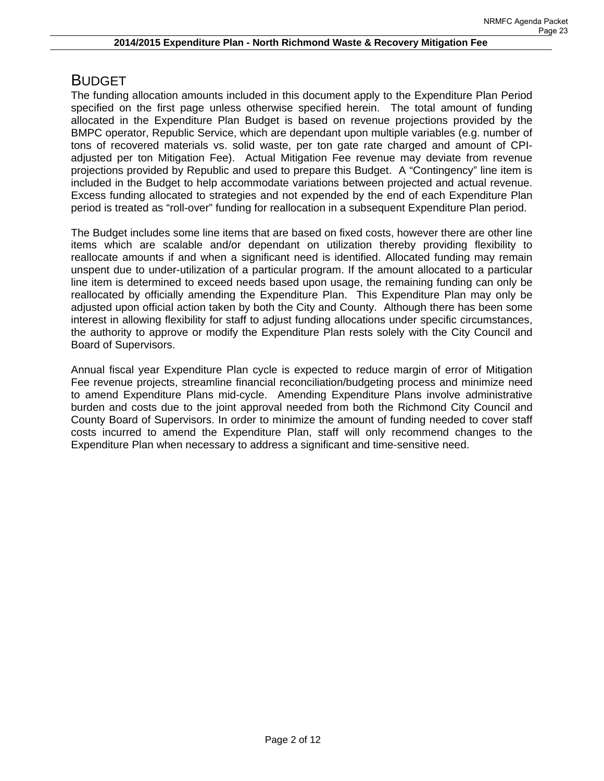# BUDGET

The funding allocation amounts included in this document apply to the Expenditure Plan Period specified on the first page unless otherwise specified herein. The total amount of funding allocated in the Expenditure Plan Budget is based on revenue projections provided by the BMPC operator, Republic Service, which are dependant upon multiple variables (e.g. number of tons of recovered materials vs. solid waste, per ton gate rate charged and amount of CPIadjusted per ton Mitigation Fee). Actual Mitigation Fee revenue may deviate from revenue projections provided by Republic and used to prepare this Budget. A "Contingency" line item is included in the Budget to help accommodate variations between projected and actual revenue. Excess funding allocated to strategies and not expended by the end of each Expenditure Plan period is treated as "roll-over" funding for reallocation in a subsequent Expenditure Plan period.

The Budget includes some line items that are based on fixed costs, however there are other line items which are scalable and/or dependant on utilization thereby providing flexibility to reallocate amounts if and when a significant need is identified. Allocated funding may remain unspent due to under-utilization of a particular program. If the amount allocated to a particular line item is determined to exceed needs based upon usage, the remaining funding can only be reallocated by officially amending the Expenditure Plan. This Expenditure Plan may only be adjusted upon official action taken by both the City and County. Although there has been some interest in allowing flexibility for staff to adjust funding allocations under specific circumstances, the authority to approve or modify the Expenditure Plan rests solely with the City Council and Board of Supervisors.

Annual fiscal year Expenditure Plan cycle is expected to reduce margin of error of Mitigation Fee revenue projects, streamline financial reconciliation/budgeting process and minimize need to amend Expenditure Plans mid-cycle. Amending Expenditure Plans involve administrative burden and costs due to the joint approval needed from both the Richmond City Council and County Board of Supervisors. In order to minimize the amount of funding needed to cover staff costs incurred to amend the Expenditure Plan, staff will only recommend changes to the Expenditure Plan when necessary to address a significant and time-sensitive need.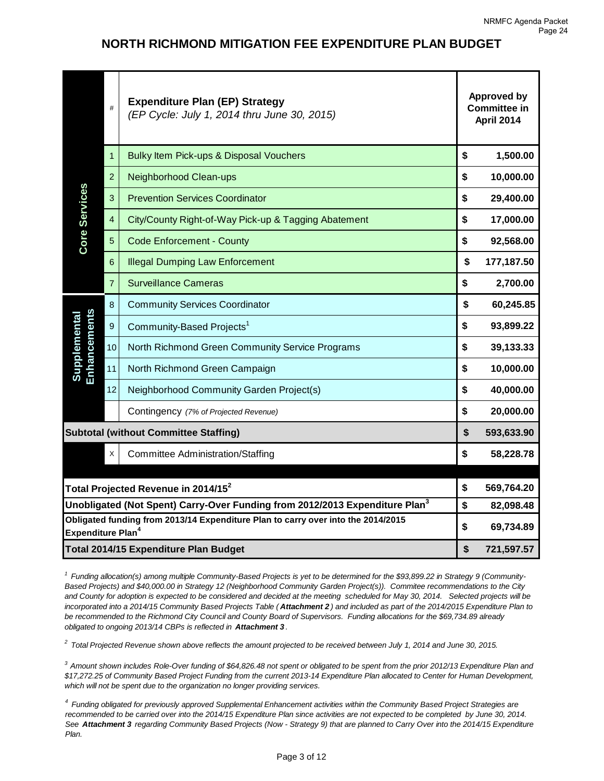# **NORTH RICHMOND MITIGATION FEE EXPENDITURE PLAN BUDGET**

| Core Services                                                                                                                                                                                                                                                                                                                                                                                                                                                                                                                                                                                                                                                                                                                                                                                                                                                                                      | #              | <b>Expenditure Plan (EP) Strategy</b><br>(EP Cycle: July 1, 2014 thru June 30, 2015) | <b>Approved by</b><br><b>Committee in</b><br>April 2014 |            |
|----------------------------------------------------------------------------------------------------------------------------------------------------------------------------------------------------------------------------------------------------------------------------------------------------------------------------------------------------------------------------------------------------------------------------------------------------------------------------------------------------------------------------------------------------------------------------------------------------------------------------------------------------------------------------------------------------------------------------------------------------------------------------------------------------------------------------------------------------------------------------------------------------|----------------|--------------------------------------------------------------------------------------|---------------------------------------------------------|------------|
|                                                                                                                                                                                                                                                                                                                                                                                                                                                                                                                                                                                                                                                                                                                                                                                                                                                                                                    | $\mathbf{1}$   | Bulky Item Pick-ups & Disposal Vouchers                                              | \$                                                      | 1,500.00   |
|                                                                                                                                                                                                                                                                                                                                                                                                                                                                                                                                                                                                                                                                                                                                                                                                                                                                                                    | $\overline{2}$ | Neighborhood Clean-ups                                                               | \$                                                      | 10,000.00  |
|                                                                                                                                                                                                                                                                                                                                                                                                                                                                                                                                                                                                                                                                                                                                                                                                                                                                                                    | 3              | <b>Prevention Services Coordinator</b>                                               | \$                                                      | 29,400.00  |
|                                                                                                                                                                                                                                                                                                                                                                                                                                                                                                                                                                                                                                                                                                                                                                                                                                                                                                    | $\overline{4}$ | City/County Right-of-Way Pick-up & Tagging Abatement                                 | \$                                                      | 17,000.00  |
|                                                                                                                                                                                                                                                                                                                                                                                                                                                                                                                                                                                                                                                                                                                                                                                                                                                                                                    | $\overline{5}$ | <b>Code Enforcement - County</b>                                                     | \$                                                      | 92,568.00  |
|                                                                                                                                                                                                                                                                                                                                                                                                                                                                                                                                                                                                                                                                                                                                                                                                                                                                                                    | 6              | <b>Illegal Dumping Law Enforcement</b>                                               | \$                                                      | 177,187.50 |
|                                                                                                                                                                                                                                                                                                                                                                                                                                                                                                                                                                                                                                                                                                                                                                                                                                                                                                    | $\overline{7}$ | <b>Surveillance Cameras</b>                                                          | \$                                                      | 2,700.00   |
| Enhancements<br>Supplemental                                                                                                                                                                                                                                                                                                                                                                                                                                                                                                                                                                                                                                                                                                                                                                                                                                                                       | $\bf 8$        | <b>Community Services Coordinator</b>                                                | \$                                                      | 60,245.85  |
|                                                                                                                                                                                                                                                                                                                                                                                                                                                                                                                                                                                                                                                                                                                                                                                                                                                                                                    | $9\,$          | Community-Based Projects <sup>1</sup>                                                | \$                                                      | 93,899.22  |
|                                                                                                                                                                                                                                                                                                                                                                                                                                                                                                                                                                                                                                                                                                                                                                                                                                                                                                    | 10             | North Richmond Green Community Service Programs                                      | \$                                                      | 39,133.33  |
|                                                                                                                                                                                                                                                                                                                                                                                                                                                                                                                                                                                                                                                                                                                                                                                                                                                                                                    | 11             | North Richmond Green Campaign                                                        | \$                                                      | 10,000.00  |
|                                                                                                                                                                                                                                                                                                                                                                                                                                                                                                                                                                                                                                                                                                                                                                                                                                                                                                    | 12             | Neighborhood Community Garden Project(s)                                             | \$                                                      | 40,000.00  |
|                                                                                                                                                                                                                                                                                                                                                                                                                                                                                                                                                                                                                                                                                                                                                                                                                                                                                                    |                | Contingency (7% of Projected Revenue)                                                | \$                                                      | 20,000.00  |
| <b>Subtotal (without Committee Staffing)</b>                                                                                                                                                                                                                                                                                                                                                                                                                                                                                                                                                                                                                                                                                                                                                                                                                                                       |                |                                                                                      | \$                                                      | 593,633.90 |
|                                                                                                                                                                                                                                                                                                                                                                                                                                                                                                                                                                                                                                                                                                                                                                                                                                                                                                    | X              | <b>Committee Administration/Staffing</b>                                             | \$                                                      | 58,228.78  |
|                                                                                                                                                                                                                                                                                                                                                                                                                                                                                                                                                                                                                                                                                                                                                                                                                                                                                                    |                |                                                                                      |                                                         |            |
| Total Projected Revenue in 2014/15 <sup>2</sup>                                                                                                                                                                                                                                                                                                                                                                                                                                                                                                                                                                                                                                                                                                                                                                                                                                                    |                |                                                                                      | \$                                                      | 569,764.20 |
| $ $ Unobligated (Not Spent) Carry-Over Funding from 2012/2013 Expenditure Plan $^3$                                                                                                                                                                                                                                                                                                                                                                                                                                                                                                                                                                                                                                                                                                                                                                                                                |                |                                                                                      | \$                                                      | 82,098.48  |
| Obligated funding from 2013/14 Expenditure Plan to carry over into the 2014/2015<br><b>Expenditure Plan<sup>4</sup></b>                                                                                                                                                                                                                                                                                                                                                                                                                                                                                                                                                                                                                                                                                                                                                                            |                |                                                                                      | \$                                                      | 69,734.89  |
| Total 2014/15 Expenditure Plan Budget                                                                                                                                                                                                                                                                                                                                                                                                                                                                                                                                                                                                                                                                                                                                                                                                                                                              |                |                                                                                      | \$                                                      | 721,597.57 |
| <sup>1</sup> Funding allocation(s) among multiple Community-Based Projects is yet to be determined for the \$93,899.22 in Strategy 9 (Community-<br>Based Projects) and \$40,000.00 in Strategy 12 (Neighborhood Community Garden Project(s)). Commitee recommendations to the City<br>and County for adoption is expected to be considered and decided at the meeting scheduled for May 30, 2014. Selected projects will be<br>incorporated into a 2014/15 Community Based Projects Table (Attachment 2) and included as part of the 2014/2015 Expenditure Plan to<br>be recommended to the Richmond City Council and County Board of Supervisors. Funding allocations for the \$69,734.89 already<br>obligated to ongoing 2013/14 CBPs is reflected in Attachment 3.<br>Total Projected Revenue shown above reflects the amount projected to be received between July 1, 2014 and June 30, 2015. |                |                                                                                      |                                                         |            |

*3 Amount shown includes Role-Over funding of \$64,826.48 not spent or obligated to be spent from the prior 2012/13 Expenditure Plan and \$17,272.25 of Community Based Project Funding from the current 2013-14 Expenditure Plan allocated to Center for Human Development, which will not be spent due to the organization no longer providing services.*

*4 Funding obligated for previously approved Supplemental Enhancement activities within the Community Based Project Strategies are recommended to be carried over into the 2014/15 Expenditure Plan since activities are not expected to be completed by June 30, 2014. See Attachment 3 regarding Community Based Projects (Now - Strategy 9) that are planned to Carry Over into the 2014/15 Expenditure Plan.*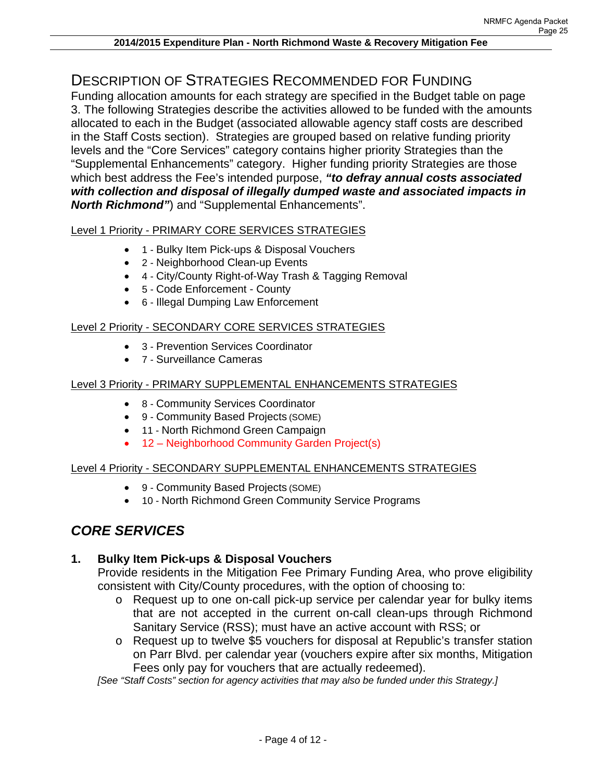# DESCRIPTION OF STRATEGIES RECOMMENDED FOR FUNDING

Funding allocation amounts for each strategy are specified in the Budget table on page 3. The following Strategies describe the activities allowed to be funded with the amounts allocated to each in the Budget (associated allowable agency staff costs are described in the Staff Costs section). Strategies are grouped based on relative funding priority levels and the "Core Services" category contains higher priority Strategies than the "Supplemental Enhancements" category. Higher funding priority Strategies are those which best address the Fee's intended purpose, *"to defray annual costs associated with collection and disposal of illegally dumped waste and associated impacts in North Richmond"*) and "Supplemental Enhancements".

## Level 1 Priority - PRIMARY CORE SERVICES STRATEGIES

- 1 Bulky Item Pick-ups & Disposal Vouchers
	- 2 Neighborhood Clean-up Events
	- 4 City/County Right-of-Way Trash & Tagging Removal
	- 5 Code Enforcement County
	- 6 Illegal Dumping Law Enforcement

### Level 2 Priority - SECONDARY CORE SERVICES STRATEGIES

- 3 Prevention Services Coordinator
- 7 Surveillance Cameras

#### Level 3 Priority - PRIMARY SUPPLEMENTAL ENHANCEMENTS STRATEGIES

- 8 Community Services Coordinator
- 9 Community Based Projects (SOME)
- 11 North Richmond Green Campaign
- 12 Neighborhood Community Garden Project(s)

#### Level 4 Priority - SECONDARY SUPPLEMENTAL ENHANCEMENTS STRATEGIES

- 9 Community Based Projects (SOME)
- 10 North Richmond Green Community Service Programs

# *CORE SERVICES*

# **1. Bulky Item Pick-ups & Disposal Vouchers**

Provide residents in the Mitigation Fee Primary Funding Area, who prove eligibility consistent with City/County procedures, with the option of choosing to:

- o Request up to one on-call pick-up service per calendar year for bulky items that are not accepted in the current on-call clean-ups through Richmond Sanitary Service (RSS); must have an active account with RSS; or
- o Request up to twelve \$5 vouchers for disposal at Republic's transfer station on Parr Blvd. per calendar year (vouchers expire after six months, Mitigation Fees only pay for vouchers that are actually redeemed).

*[See "Staff Costs" section for agency activities that may also be funded under this Strategy.]*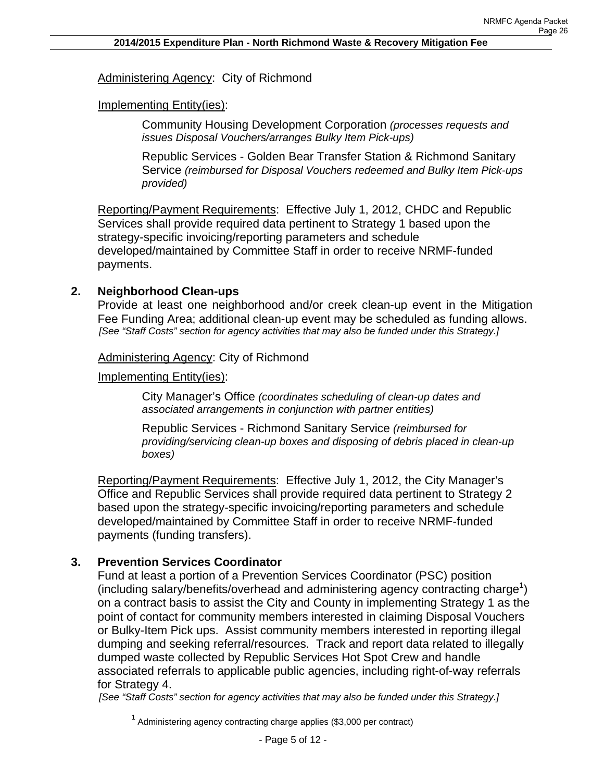# Administering Agency: City of Richmond

# Implementing Entity(ies):

Community Housing Development Corporation *(processes requests and issues Disposal Vouchers/arranges Bulky Item Pick-ups)* 

Republic Services - Golden Bear Transfer Station & Richmond Sanitary Service *(reimbursed for Disposal Vouchers redeemed and Bulky Item Pick-ups provided)*

Reporting/Payment Requirements: Effective July 1, 2012, CHDC and Republic Services shall provide required data pertinent to Strategy 1 based upon the strategy-specific invoicing/reporting parameters and schedule developed/maintained by Committee Staff in order to receive NRMF-funded payments.

# **2. Neighborhood Clean-ups**

Provide at least one neighborhood and/or creek clean-up event in the Mitigation Fee Funding Area; additional clean-up event may be scheduled as funding allows. *[See "Staff Costs" section for agency activities that may also be funded under this Strategy.]* 

# Administering Agency: City of Richmond

Implementing Entity(ies):

City Manager's Office *(coordinates scheduling of clean-up dates and associated arrangements in conjunction with partner entities)* 

Republic Services - Richmond Sanitary Service *(reimbursed for providing/servicing clean-up boxes and disposing of debris placed in clean-up boxes)*

Reporting/Payment Requirements: Effective July 1, 2012, the City Manager's Office and Republic Services shall provide required data pertinent to Strategy 2 based upon the strategy-specific invoicing/reporting parameters and schedule developed/maintained by Committee Staff in order to receive NRMF-funded payments (funding transfers).

# **3. Prevention Services Coordinator**

Fund at least a portion of a Prevention Services Coordinator (PSC) position (including salary/benefits/overhead and administering agency contracting charge<sup>1</sup>) on a contract basis to assist the City and County in implementing Strategy 1 as the point of contact for community members interested in claiming Disposal Vouchers or Bulky-Item Pick ups. Assist community members interested in reporting illegal dumping and seeking referral/resources. Track and report data related to illegally dumped waste collected by Republic Services Hot Spot Crew and handle associated referrals to applicable public agencies, including right-of-way referrals for Strategy 4.

*[See "Staff Costs" section for agency activities that may also be funded under this Strategy.]* 

 $1$  Administering agency contracting charge applies (\$3,000 per contract)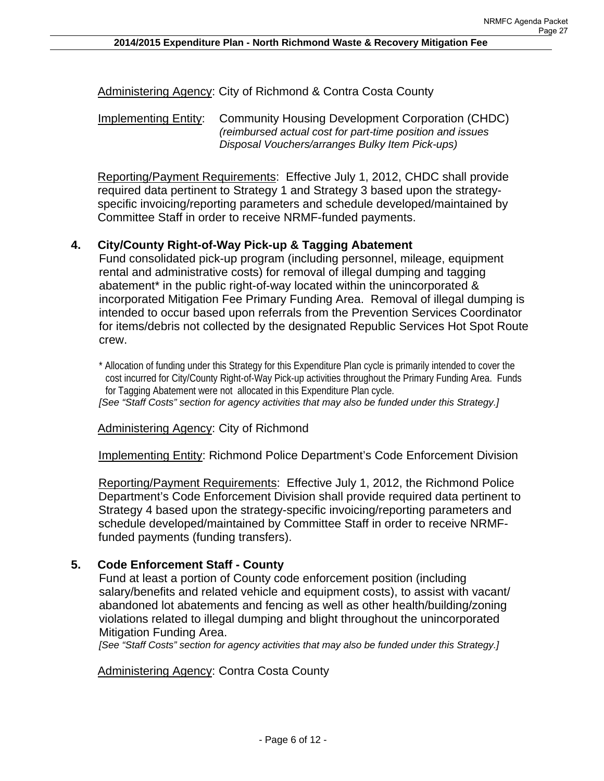Administering Agency: City of Richmond & Contra Costa County

Implementing Entity: Community Housing Development Corporation (CHDC) *(reimbursed actual cost for part-time position and issues Disposal Vouchers/arranges Bulky Item Pick-ups)*

Reporting/Payment Requirements: Effective July 1, 2012, CHDC shall provide required data pertinent to Strategy 1 and Strategy 3 based upon the strategyspecific invoicing/reporting parameters and schedule developed/maintained by Committee Staff in order to receive NRMF-funded payments.

#### **4. City/County Right-of-Way Pick-up & Tagging Abatement**

Fund consolidated pick-up program (including personnel, mileage, equipment rental and administrative costs) for removal of illegal dumping and tagging abatement<sup>\*</sup> in the public right-of-way located within the unincorporated & incorporated Mitigation Fee Primary Funding Area. Removal of illegal dumping is intended to occur based upon referrals from the Prevention Services Coordinator for items/debris not collected by the designated Republic Services Hot Spot Route crew.

\* Allocation of funding under this Strategy for this Expenditure Plan cycle is primarily intended to cover the cost incurred for City/County Right-of-Way Pick-up activities throughout the Primary Funding Area. Funds for Tagging Abatement were not allocated in this Expenditure Plan cycle. *[See "Staff Costs" section for agency activities that may also be funded under this Strategy.]* 

Administering Agency: City of Richmond

Implementing Entity: Richmond Police Department's Code Enforcement Division

Reporting/Payment Requirements: Effective July 1, 2012, the Richmond Police Department's Code Enforcement Division shall provide required data pertinent to Strategy 4 based upon the strategy-specific invoicing/reporting parameters and schedule developed/maintained by Committee Staff in order to receive NRMFfunded payments (funding transfers).

# **5. Code Enforcement Staff - County**

Fund at least a portion of County code enforcement position (including salary/benefits and related vehicle and equipment costs), to assist with vacant/ abandoned lot abatements and fencing as well as other health/building/zoning violations related to illegal dumping and blight throughout the unincorporated Mitigation Funding Area.

*[See "Staff Costs" section for agency activities that may also be funded under this Strategy.]* 

Administering Agency: Contra Costa County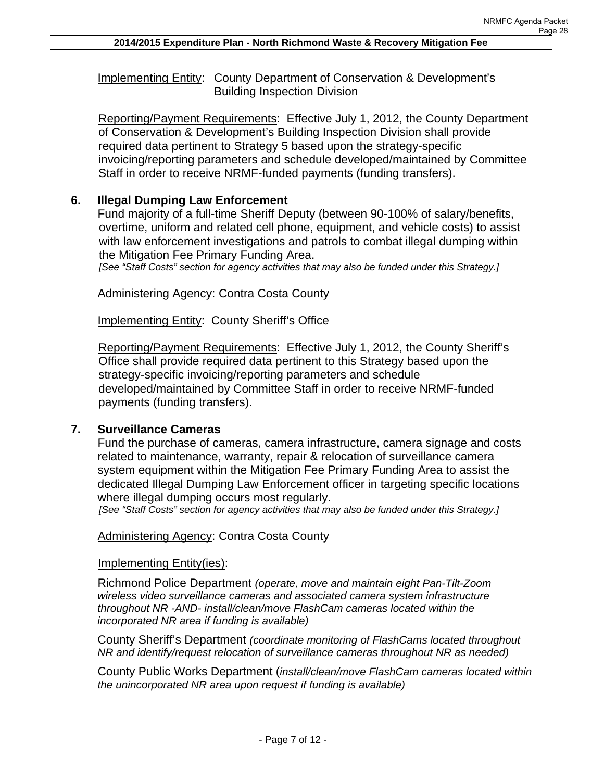Implementing Entity: County Department of Conservation & Development's Building Inspection Division

Reporting/Payment Requirements: Effective July 1, 2012, the County Department of Conservation & Development's Building Inspection Division shall provide required data pertinent to Strategy 5 based upon the strategy-specific invoicing/reporting parameters and schedule developed/maintained by Committee Staff in order to receive NRMF-funded payments (funding transfers).

# **6. Illegal Dumping Law Enforcement**

Fund majority of a full-time Sheriff Deputy (between 90-100% of salary/benefits, overtime, uniform and related cell phone, equipment, and vehicle costs) to assist with law enforcement investigations and patrols to combat illegal dumping within the Mitigation Fee Primary Funding Area.

*[See "Staff Costs" section for agency activities that may also be funded under this Strategy.]* 

**Administering Agency: Contra Costa County** 

Implementing Entity: County Sheriff's Office

Reporting/Payment Requirements: Effective July 1, 2012, the County Sheriff's Office shall provide required data pertinent to this Strategy based upon the strategy-specific invoicing/reporting parameters and schedule developed/maintained by Committee Staff in order to receive NRMF-funded payments (funding transfers).

# **7. Surveillance Cameras**

Fund the purchase of cameras, camera infrastructure, camera signage and costs related to maintenance, warranty, repair & relocation of surveillance camera system equipment within the Mitigation Fee Primary Funding Area to assist the dedicated Illegal Dumping Law Enforcement officer in targeting specific locations where illegal dumping occurs most regularly.

*[See "Staff Costs" section for agency activities that may also be funded under this Strategy.]* 

### Administering Agency: Contra Costa County

#### Implementing Entity(ies):

Richmond Police Department *(operate, move and maintain eight Pan-Tilt-Zoom wireless video surveillance cameras and associated camera system infrastructure throughout NR -AND- install/clean/move FlashCam cameras located within the incorporated NR area if funding is available)*

County Sheriff's Department *(coordinate monitoring of FlashCams located throughout NR and identify/request relocation of surveillance cameras throughout NR as needed)* 

County Public Works Department (*install/clean/move FlashCam cameras located within the unincorporated NR area upon request if funding is available)*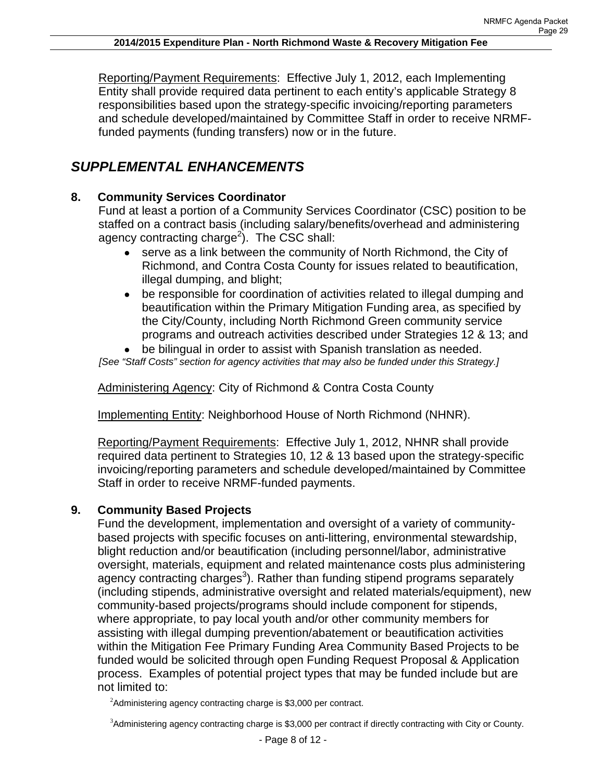Reporting/Payment Requirements: Effective July 1, 2012, each Implementing Entity shall provide required data pertinent to each entity's applicable Strategy 8 responsibilities based upon the strategy-specific invoicing/reporting parameters and schedule developed/maintained by Committee Staff in order to receive NRMFfunded payments (funding transfers) now or in the future.

# *SUPPLEMENTAL ENHANCEMENTS*

# **8. Community Services Coordinator**

Fund at least a portion of a Community Services Coordinator (CSC) position to be staffed on a contract basis (including salary/benefits/overhead and administering agency contracting charge<sup>2</sup>). The CSC shall:

- serve as a link between the community of North Richmond, the City of Richmond, and Contra Costa County for issues related to beautification, illegal dumping, and blight;
- be responsible for coordination of activities related to illegal dumping and beautification within the Primary Mitigation Funding area, as specified by the City/County, including North Richmond Green community service programs and outreach activities described under Strategies 12 & 13; and
- be bilingual in order to assist with Spanish translation as needed. *[See "Staff Costs" section for agency activities that may also be funded under this Strategy.]*

Administering Agency: City of Richmond & Contra Costa County

Implementing Entity: Neighborhood House of North Richmond (NHNR).

Reporting/Payment Requirements: Effective July 1, 2012, NHNR shall provide required data pertinent to Strategies 10, 12 & 13 based upon the strategy-specific invoicing/reporting parameters and schedule developed/maintained by Committee Staff in order to receive NRMF-funded payments.

# **9. Community Based Projects**

Fund the development, implementation and oversight of a variety of communitybased projects with specific focuses on anti-littering, environmental stewardship, blight reduction and/or beautification (including personnel/labor, administrative oversight, materials, equipment and related maintenance costs plus administering agency contracting charges<sup>3</sup>). Rather than funding stipend programs separately (including stipends, administrative oversight and related materials/equipment), new community-based projects/programs should include component for stipends, where appropriate, to pay local youth and/or other community members for assisting with illegal dumping prevention/abatement or beautification activities within the Mitigation Fee Primary Funding Area Community Based Projects to be funded would be solicited through open Funding Request Proposal & Application process. Examples of potential project types that may be funded include but are not limited to:

 $2$ Administering agency contracting charge is \$3,000 per contract.

<sup>3</sup> Administering agency contracting charge is \$3,000 per contract if directly contracting with City or County.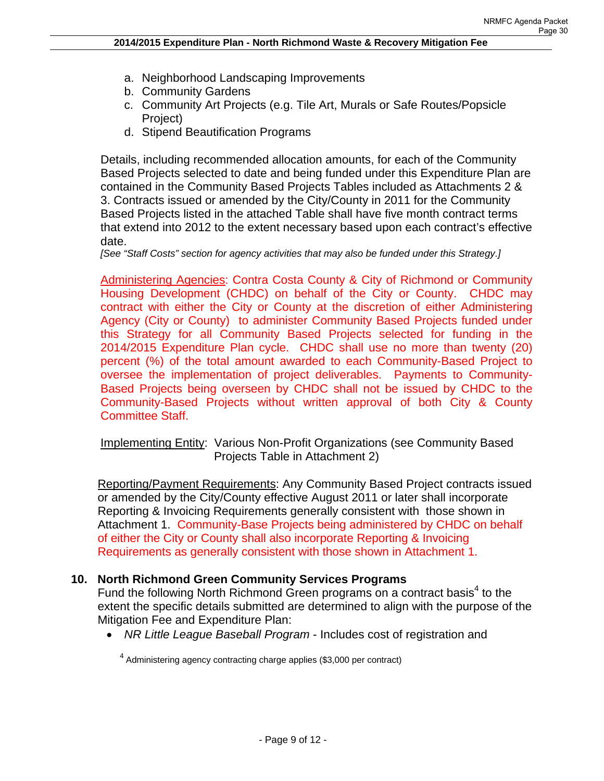- a. Neighborhood Landscaping Improvements
- b. Community Gardens
- c. Community Art Projects (e.g. Tile Art, Murals or Safe Routes/Popsicle Project)
- d. Stipend Beautification Programs

Details, including recommended allocation amounts, for each of the Community Based Projects selected to date and being funded under this Expenditure Plan are contained in the Community Based Projects Tables included as Attachments 2 & 3. Contracts issued or amended by the City/County in 2011 for the Community Based Projects listed in the attached Table shall have five month contract terms that extend into 2012 to the extent necessary based upon each contract's effective date.

*[See "Staff Costs" section for agency activities that may also be funded under this Strategy.]* 

Administering Agencies: Contra Costa County & City of Richmond or Community Housing Development (CHDC) on behalf of the City or County. CHDC may contract with either the City or County at the discretion of either Administering Agency (City or County) to administer Community Based Projects funded under this Strategy for all Community Based Projects selected for funding in the 2014/2015 Expenditure Plan cycle. CHDC shall use no more than twenty (20) percent (%) of the total amount awarded to each Community-Based Project to oversee the implementation of project deliverables. Payments to Community-Based Projects being overseen by CHDC shall not be issued by CHDC to the Community-Based Projects without written approval of both City & County Committee Staff.

Implementing Entity: Various Non-Profit Organizations (see Community Based Projects Table in Attachment 2)

Reporting/Payment Requirements: Any Community Based Project contracts issued or amended by the City/County effective August 2011 or later shall incorporate Reporting & Invoicing Requirements generally consistent with those shown in Attachment 1. Community-Base Projects being administered by CHDC on behalf of either the City or County shall also incorporate Reporting & Invoicing Requirements as generally consistent with those shown in Attachment 1.

# **10. North Richmond Green Community Services Programs**

Fund the following North Richmond Green programs on a contract basis<sup>4</sup> to the extent the specific details submitted are determined to align with the purpose of the Mitigation Fee and Expenditure Plan:

*NR Little League Baseball Program* - Includes cost of registration and

<sup>4</sup> Administering agency contracting charge applies (\$3,000 per contract)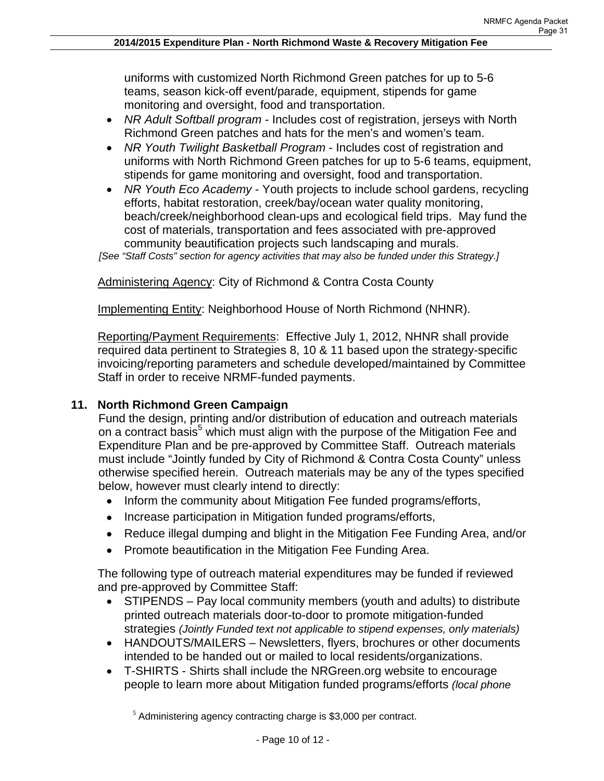uniforms with customized North Richmond Green patches for up to 5-6 teams, season kick-off event/parade, equipment, stipends for game monitoring and oversight, food and transportation.

- *NR Adult Softball program* Includes cost of registration, jerseys with North Richmond Green patches and hats for the men's and women's team.
- *NR Youth Twilight Basketball Program* Includes cost of registration and uniforms with North Richmond Green patches for up to 5-6 teams, equipment, stipends for game monitoring and oversight, food and transportation.
- *NR Youth Eco Academy* Youth projects to include school gardens, recycling efforts, habitat restoration, creek/bay/ocean water quality monitoring, beach/creek/neighborhood clean-ups and ecological field trips. May fund the cost of materials, transportation and fees associated with pre-approved community beautification projects such landscaping and murals.

*[See "Staff Costs" section for agency activities that may also be funded under this Strategy.]* 

Administering Agency: City of Richmond & Contra Costa County

Implementing Entity: Neighborhood House of North Richmond (NHNR).

Reporting/Payment Requirements: Effective July 1, 2012, NHNR shall provide required data pertinent to Strategies 8, 10 & 11 based upon the strategy-specific invoicing/reporting parameters and schedule developed/maintained by Committee Staff in order to receive NRMF-funded payments.

# **11. North Richmond Green Campaign**

Fund the design, printing and/or distribution of education and outreach materials on a contract basis<sup>5</sup> which must align with the purpose of the Mitigation Fee and Expenditure Plan and be pre-approved by Committee Staff. Outreach materials must include "Jointly funded by City of Richmond & Contra Costa County" unless otherwise specified herein. Outreach materials may be any of the types specified below, however must clearly intend to directly:

- Inform the community about Mitigation Fee funded programs/efforts,
- Increase participation in Mitigation funded programs/efforts,
- Reduce illegal dumping and blight in the Mitigation Fee Funding Area, and/or
- Promote beautification in the Mitigation Fee Funding Area.

The following type of outreach material expenditures may be funded if reviewed and pre-approved by Committee Staff:

- STIPENDS Pay local community members (youth and adults) to distribute printed outreach materials door-to-door to promote mitigation-funded strategies *(Jointly Funded text not applicable to stipend expenses, only materials)*
- HANDOUTS/MAILERS Newsletters, flyers, brochures or other documents intended to be handed out or mailed to local residents/organizations.
- T-SHIRTS Shirts shall include the NRGreen.org website to encourage people to learn more about Mitigation funded programs/efforts *(local phone*

 $<sup>5</sup>$  Administering agency contracting charge is \$3,000 per contract.</sup>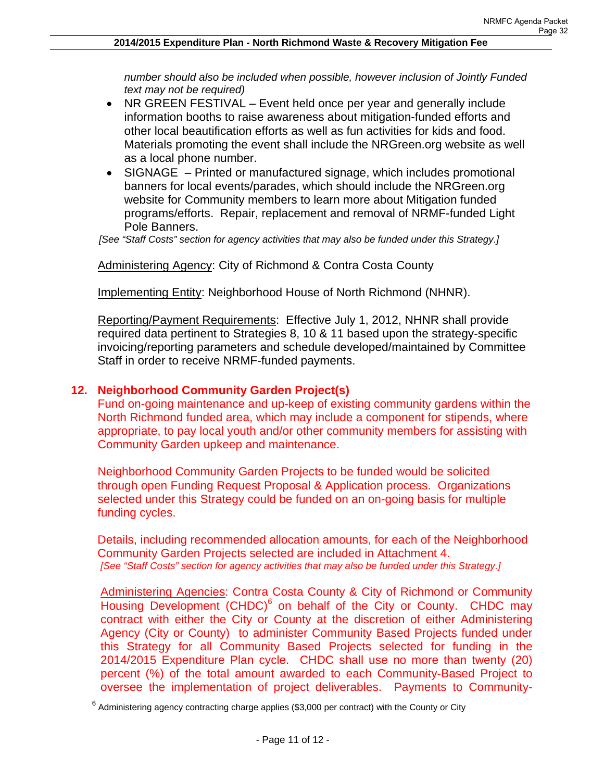*number should also be included when possible, however inclusion of Jointly Funded text may not be required)*

- NR GREEN FESTIVAL Event held once per year and generally include information booths to raise awareness about mitigation-funded efforts and other local beautification efforts as well as fun activities for kids and food. Materials promoting the event shall include the NRGreen.org website as well as a local phone number.
- SIGNAGE Printed or manufactured signage, which includes promotional banners for local events/parades, which should include the NRGreen.org website for Community members to learn more about Mitigation funded programs/efforts. Repair, replacement and removal of NRMF-funded Light Pole Banners.

*[See "Staff Costs" section for agency activities that may also be funded under this Strategy.]* 

Administering Agency: City of Richmond & Contra Costa County

Implementing Entity: Neighborhood House of North Richmond (NHNR).

Reporting/Payment Requirements: Effective July 1, 2012, NHNR shall provide required data pertinent to Strategies 8, 10 & 11 based upon the strategy-specific invoicing/reporting parameters and schedule developed/maintained by Committee Staff in order to receive NRMF-funded payments.

## **12. Neighborhood Community Garden Project(s)**

Fund on-going maintenance and up-keep of existing community gardens within the North Richmond funded area, which may include a component for stipends, where appropriate, to pay local youth and/or other community members for assisting with Community Garden upkeep and maintenance.

Neighborhood Community Garden Projects to be funded would be solicited through open Funding Request Proposal & Application process. Organizations selected under this Strategy could be funded on an on-going basis for multiple funding cycles.

Details, including recommended allocation amounts, for each of the Neighborhood Community Garden Projects selected are included in Attachment 4. *[See "Staff Costs" section for agency activities that may also be funded under this Strategy.]* 

Administering Agencies: Contra Costa County & City of Richmond or Community Housing Development (CHDC)<sup>6</sup> on behalf of the City or County. CHDC may contract with either the City or County at the discretion of either Administering Agency (City or County) to administer Community Based Projects funded under this Strategy for all Community Based Projects selected for funding in the 2014/2015 Expenditure Plan cycle. CHDC shall use no more than twenty (20) percent (%) of the total amount awarded to each Community-Based Project to oversee the implementation of project deliverables. Payments to Community-

 $^6$  Administering agency contracting charge applies (\$3,000 per contract) with the County or City